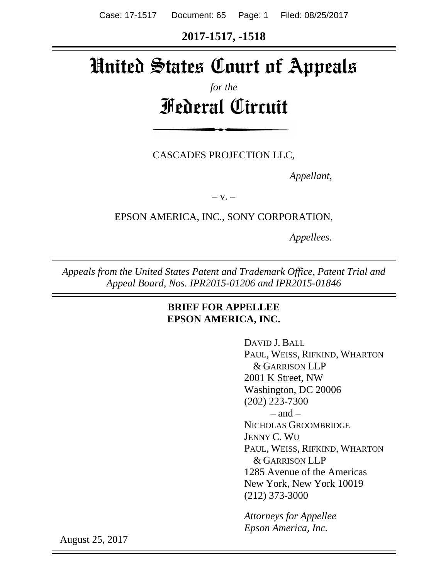Case: 17-1517 Document: 65 Page: 1 Filed: 08/25/2017

**2017-1517, -1518**

# United States Court of Appeals

## *for the* Federal Circuit

CASCADES PROJECTION LLC,

*Appellant,*

 $-V. -$ 

EPSON AMERICA, INC., SONY CORPORATION,

*Appellees.*

*Appeals from the United States Patent and Trademark Office, Patent Trial and Appeal Board, Nos. IPR2015-01206 and IPR2015-01846*

### **BRIEF FOR APPELLEE EPSON AMERICA, INC.**

DAVID J. BALL PAUL, WEISS, RIFKIND, WHARTON & GARRISON LLP 2001 K Street, NW Washington, DC 20006 (202) 223-7300  $-$  and  $-$ NICHOLAS GROOMBRIDGE JENNY C. WU PAUL, WEISS, RIFKIND, WHARTON & GARRISON LLP 1285 Avenue of the Americas New York, New York 10019 (212) 373-3000

*Attorneys for Appellee Epson America, Inc.*

August 25, 2017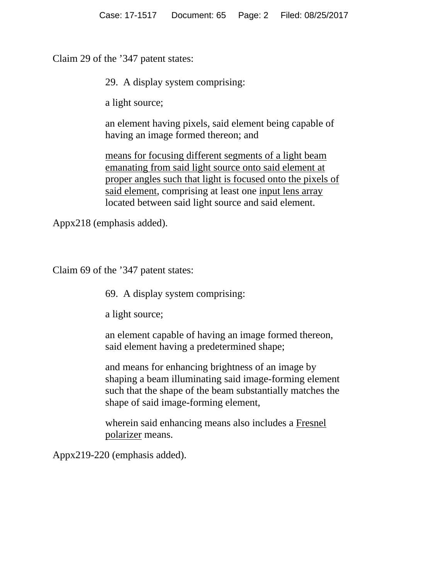Claim 29 of the '347 patent states:

29. A display system comprising:

a light source;

an element having pixels, said element being capable of having an image formed thereon; and

means for focusing different segments of a light beam emanating from said light source onto said element at proper angles such that light is focused onto the pixels of said element, comprising at least one input lens array located between said light source and said element.

Appx218 (emphasis added).

Claim 69 of the '347 patent states:

69. A display system comprising:

a light source;

an element capable of having an image formed thereon, said element having a predetermined shape;

and means for enhancing brightness of an image by shaping a beam illuminating said image-forming element such that the shape of the beam substantially matches the shape of said image-forming element,

wherein said enhancing means also includes a Fresnel polarizer means.

Appx219-220 (emphasis added).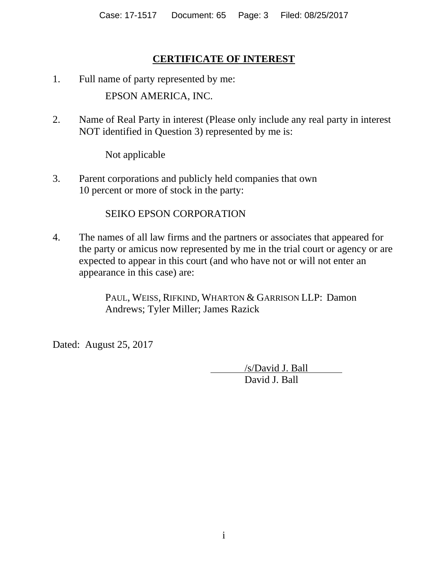## **CERTIFICATE OF INTEREST**

- 1. Full name of party represented by me: EPSON AMERICA, INC.
- 2. Name of Real Party in interest (Please only include any real party in interest NOT identified in Question 3) represented by me is:

Not applicable

3. Parent corporations and publicly held companies that own 10 percent or more of stock in the party:

### SEIKO EPSON CORPORATION

4. The names of all law firms and the partners or associates that appeared for the party or amicus now represented by me in the trial court or agency or are expected to appear in this court (and who have not or will not enter an appearance in this case) are:

> PAUL, WEISS, RIFKIND, WHARTON & GARRISON LLP: Damon Andrews; Tyler Miller; James Razick

Dated: August 25, 2017

 /s/David J. Ball David J. Ball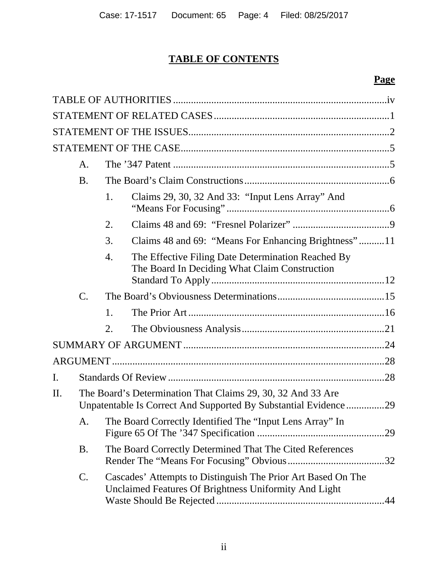## **TABLE OF CONTENTS**

## **Page**

|         | A.                                                                                                                             |                                                             |                                                                                                                       |  |  |
|---------|--------------------------------------------------------------------------------------------------------------------------------|-------------------------------------------------------------|-----------------------------------------------------------------------------------------------------------------------|--|--|
|         | <b>B.</b>                                                                                                                      |                                                             |                                                                                                                       |  |  |
|         |                                                                                                                                | 1.                                                          | Claims 29, 30, 32 And 33: "Input Lens Array" And                                                                      |  |  |
|         |                                                                                                                                | 2.                                                          |                                                                                                                       |  |  |
|         |                                                                                                                                | 3.                                                          | Claims 48 and 69: "Means For Enhancing Brightness"11                                                                  |  |  |
|         |                                                                                                                                | 4.                                                          | The Effective Filing Date Determination Reached By<br>The Board In Deciding What Claim Construction                   |  |  |
|         | C.                                                                                                                             |                                                             |                                                                                                                       |  |  |
|         |                                                                                                                                | 1.                                                          |                                                                                                                       |  |  |
|         |                                                                                                                                | 2.                                                          |                                                                                                                       |  |  |
|         |                                                                                                                                |                                                             |                                                                                                                       |  |  |
|         |                                                                                                                                |                                                             |                                                                                                                       |  |  |
| I.      |                                                                                                                                |                                                             |                                                                                                                       |  |  |
|         |                                                                                                                                |                                                             |                                                                                                                       |  |  |
| $\Pi$ . | The Board's Determination That Claims 29, 30, 32 And 33 Are<br>Unpatentable Is Correct And Supported By Substantial Evidence29 |                                                             |                                                                                                                       |  |  |
|         |                                                                                                                                | A. The Board Correctly Identified The "Input Lens Array" In |                                                                                                                       |  |  |
|         | B.                                                                                                                             |                                                             | The Board Correctly Determined That The Cited References                                                              |  |  |
|         | C.                                                                                                                             |                                                             | Cascades' Attempts to Distinguish The Prior Art Based On The<br>Unclaimed Features Of Brightness Uniformity And Light |  |  |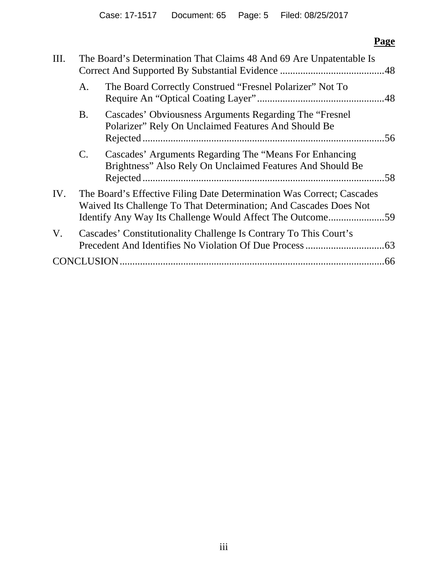## **Page**

| III. | The Board's Determination That Claims 48 And 69 Are Unpatentable Is                                                                                                                                     |                                                                                                                      |     |  |
|------|---------------------------------------------------------------------------------------------------------------------------------------------------------------------------------------------------------|----------------------------------------------------------------------------------------------------------------------|-----|--|
|      | The Board Correctly Construed "Fresnel Polarizer" Not To<br>A.                                                                                                                                          |                                                                                                                      |     |  |
|      | Cascades' Obviousness Arguments Regarding The "Fresnel"<br>B.<br>Polarizer" Rely On Unclaimed Features And Should Be                                                                                    |                                                                                                                      |     |  |
|      | $C_{\cdot}$                                                                                                                                                                                             | Cascades' Arguments Regarding The "Means For Enhancing"<br>Brightness" Also Rely On Unclaimed Features And Should Be | .58 |  |
| IV.  | The Board's Effective Filing Date Determination Was Correct; Cascades<br>Waived Its Challenge To That Determination; And Cascades Does Not<br>Identify Any Way Its Challenge Would Affect The Outcome59 |                                                                                                                      |     |  |
| V.   |                                                                                                                                                                                                         | Cascades' Constitutionality Challenge Is Contrary To This Court's                                                    |     |  |
|      |                                                                                                                                                                                                         |                                                                                                                      | .66 |  |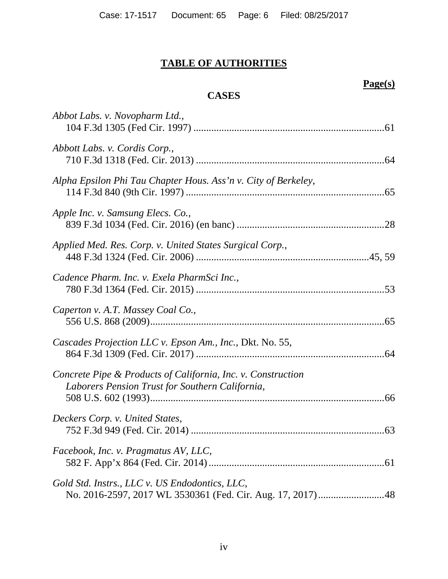## **TABLE OF AUTHORITIES**

## **Page(s)**

## **CASES**

| Abbot Labs. v. Novopharm Ltd.,                                                                                  |  |
|-----------------------------------------------------------------------------------------------------------------|--|
| Abbott Labs. v. Cordis Corp.,                                                                                   |  |
| Alpha Epsilon Phi Tau Chapter Hous. Ass'n v. City of Berkeley,                                                  |  |
| Apple Inc. v. Samsung Elecs. Co.,                                                                               |  |
| Applied Med. Res. Corp. v. United States Surgical Corp.,                                                        |  |
| Cadence Pharm. Inc. v. Exela PharmSci Inc.,                                                                     |  |
| Caperton v. A.T. Massey Coal Co.,                                                                               |  |
| Cascades Projection LLC v. Epson Am., Inc., Dkt. No. 55,                                                        |  |
| Concrete Pipe & Products of California, Inc. v. Construction<br>Laborers Pension Trust for Southern California, |  |
| Deckers Corp. v. United States,                                                                                 |  |
| Facebook, Inc. v. Pragmatus AV, LLC,                                                                            |  |
| Gold Std. Instrs., LLC v. US Endodontics, LLC,                                                                  |  |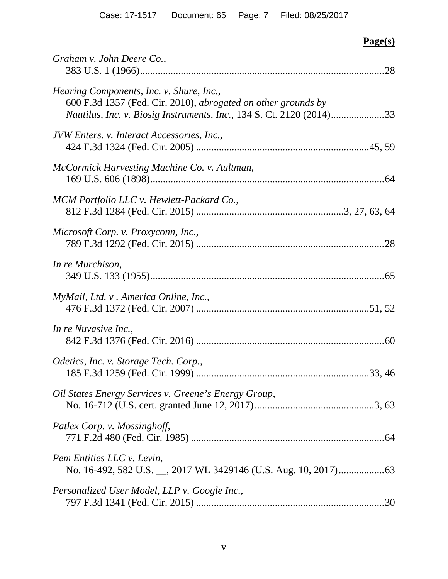## **Page(s)**

| Graham v. John Deere Co.,                                                                                                                                                         | .28 |
|-----------------------------------------------------------------------------------------------------------------------------------------------------------------------------------|-----|
| Hearing Components, Inc. v. Shure, Inc.,<br>600 F.3d 1357 (Fed. Cir. 2010), abrogated on other grounds by<br>Nautilus, Inc. v. Biosig Instruments, Inc., 134 S. Ct. 2120 (2014)33 |     |
| JVW Enters. v. Interact Accessories, Inc.,                                                                                                                                        |     |
| McCormick Harvesting Machine Co. v. Aultman,                                                                                                                                      |     |
| MCM Portfolio LLC v. Hewlett-Packard Co.,                                                                                                                                         |     |
| Microsoft Corp. v. Proxyconn, Inc.,                                                                                                                                               |     |
| In re Murchison,                                                                                                                                                                  |     |
| MyMail, Ltd. v. America Online, Inc.,                                                                                                                                             |     |
| In re Nuvasive Inc.,                                                                                                                                                              |     |
| Odetics, Inc. v. Storage Tech. Corp.,                                                                                                                                             |     |
| Oil States Energy Services v. Greene's Energy Group,                                                                                                                              |     |
| Patlex Corp. v. Mossinghoff,                                                                                                                                                      |     |
| Pem Entities LLC v. Levin,                                                                                                                                                        |     |
| Personalized User Model, LLP v. Google Inc.,                                                                                                                                      |     |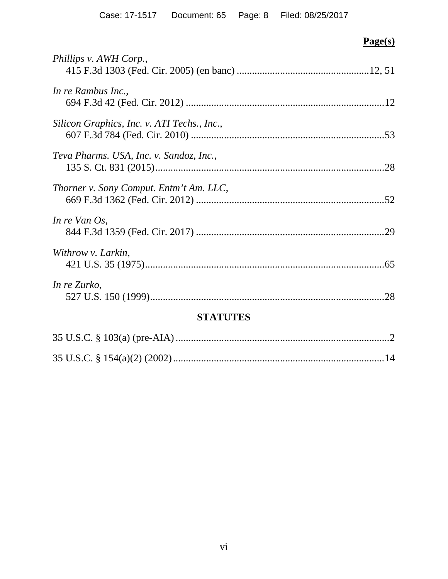## **Page(s)**

| Phillips v. AWH Corp.,                      |  |  |  |  |
|---------------------------------------------|--|--|--|--|
| In re Rambus Inc.,                          |  |  |  |  |
| Silicon Graphics, Inc. v. ATI Techs., Inc., |  |  |  |  |
| Teva Pharms. USA, Inc. v. Sandoz, Inc.,     |  |  |  |  |
| Thorner v. Sony Comput. Entm't Am. LLC,     |  |  |  |  |
| In re Van $Os$ ,                            |  |  |  |  |
| Withrow v. Larkin,                          |  |  |  |  |
| In re Zurko,                                |  |  |  |  |
| <b>STATUTES</b>                             |  |  |  |  |
|                                             |  |  |  |  |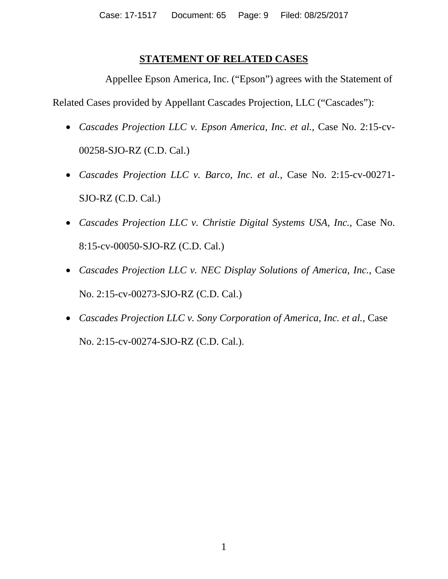### **STATEMENT OF RELATED CASES**

Appellee Epson America, Inc. ("Epson") agrees with the Statement of

Related Cases provided by Appellant Cascades Projection, LLC ("Cascades"):

- *Cascades Projection LLC v. Epson America, Inc. et al.*, Case No. 2:15-cv-00258-SJO-RZ (C.D. Cal.)
- *Cascades Projection LLC v. Barco, Inc. et al.,* Case No. 2:15-cv-00271- SJO-RZ (C.D. Cal.)
- *Cascades Projection LLC v. Christie Digital Systems USA, Inc., Case No.* 8:15-cv-00050-SJO-RZ (C.D. Cal.)
- *Cascades Projection LLC v. NEC Display Solutions of America, Inc., Case* No. 2:15-cv-00273-SJO-RZ (C.D. Cal.)
- *Cascades Projection LLC v. Sony Corporation of America, Inc. et al.,* Case No. 2:15-cv-00274-SJO-RZ (C.D. Cal.).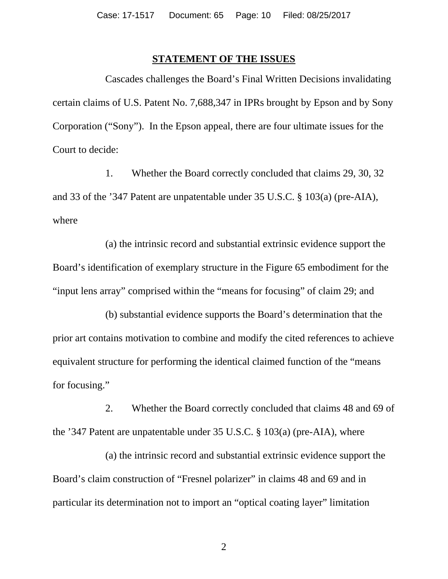#### <span id="page-9-0"></span>**STATEMENT OF THE ISSUES**

Cascades challenges the Board's Final Written Decisions invalidating certain claims of U.S. Patent No. 7,688,347 in IPRs brought by Epson and by Sony Corporation ("Sony"). In the Epson appeal, there are four ultimate issues for the Court to decide:

1. Whether the Board correctly concluded that claims 29, 30, 32 and 33 of the '347 Patent are unpatentable under 35 U.S.C. § 103(a) (pre-AIA), where

(a) the intrinsic record and substantial extrinsic evidence support the Board's identification of exemplary structure in the Figure 65 embodiment for the "input lens array" comprised within the "means for focusing" of claim 29; and

(b) substantial evidence supports the Board's determination that the prior art contains motivation to combine and modify the cited references to achieve equivalent structure for performing the identical claimed function of the "means for focusing."

2. Whether the Board correctly concluded that claims 48 and 69 of the '347 Patent are unpatentable under 35 U.S.C. § 103(a) (pre-AIA), where

(a) the intrinsic record and substantial extrinsic evidence support the Board's claim construction of "Fresnel polarizer" in claims 48 and 69 and in particular its determination not to import an "optical coating layer" limitation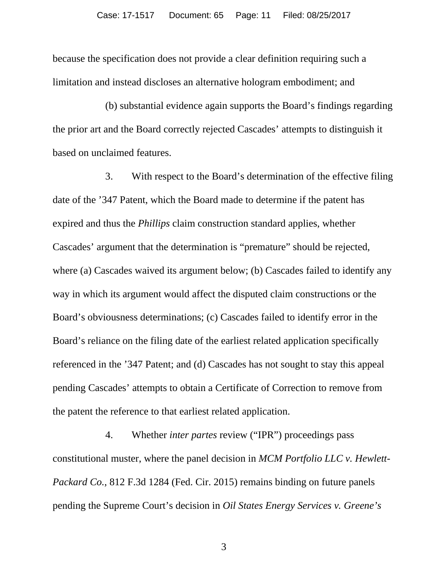because the specification does not provide a clear definition requiring such a limitation and instead discloses an alternative hologram embodiment; and

(b) substantial evidence again supports the Board's findings regarding the prior art and the Board correctly rejected Cascades' attempts to distinguish it based on unclaimed features.

3. With respect to the Board's determination of the effective filing date of the '347 Patent, which the Board made to determine if the patent has expired and thus the *Phillips* claim construction standard applies, whether Cascades' argument that the determination is "premature" should be rejected, where (a) Cascades waived its argument below; (b) Cascades failed to identify any way in which its argument would affect the disputed claim constructions or the Board's obviousness determinations; (c) Cascades failed to identify error in the Board's reliance on the filing date of the earliest related application specifically referenced in the '347 Patent; and (d) Cascades has not sought to stay this appeal pending Cascades' attempts to obtain a Certificate of Correction to remove from the patent the reference to that earliest related application.

<span id="page-10-1"></span><span id="page-10-0"></span>4. Whether *inter partes* review ("IPR") proceedings pass constitutional muster, where the panel decision in *MCM Portfolio LLC v. Hewlett-Packard Co.*, 812 F.3d 1284 (Fed. Cir. 2015) remains binding on future panels pending the Supreme Court's decision in *Oil States Energy Services v. Greene's*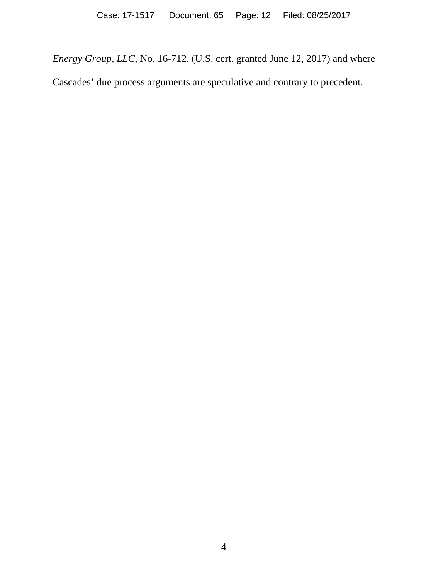*Energy Group, LLC*, No. 16-712, (U.S. cert. granted June 12, 2017) and where Cascades' due process arguments are speculative and contrary to precedent.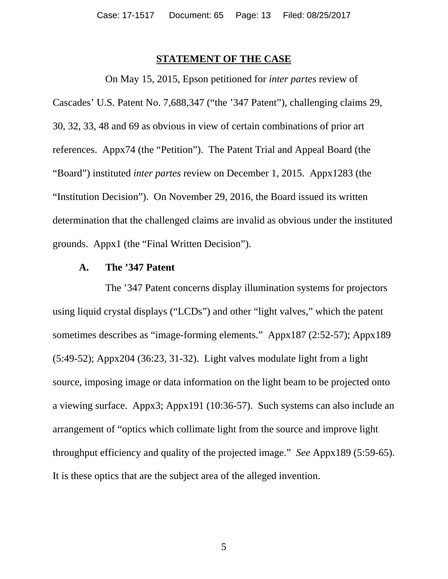#### **STATEMENT OF THE CASE**

On May 15, 2015, Epson petitioned for *inter partes* review of Cascades' U.S. Patent No. 7,688,347 ("the '347 Patent"), challenging claims 29, 30, 32, 33, 48 and 69 as obvious in view of certain combinations of prior art references. Appx74 (the "Petition"). The Patent Trial and Appeal Board (the "Board") instituted *inter partes* review on December 1, 2015. Appx1283 (the "Institution Decision"). On November 29, 2016, the Board issued its written determination that the challenged claims are invalid as obvious under the instituted grounds. Appx1 (the "Final Written Decision").

#### **A. The '347 Patent**

The '347 Patent concerns display illumination systems for projectors using liquid crystal displays ("LCDs") and other "light valves," which the patent sometimes describes as "image-forming elements." Appx187 (2:52-57); Appx189 (5:49-52); Appx204 (36:23, 31-32). Light valves modulate light from a light source, imposing image or data information on the light beam to be projected onto a viewing surface. Appx3; Appx191 (10:36-57). Such systems can also include an arrangement of "optics which collimate light from the source and improve light throughput efficiency and quality of the projected image." *See* Appx189 (5:59-65). It is these optics that are the subject area of the alleged invention.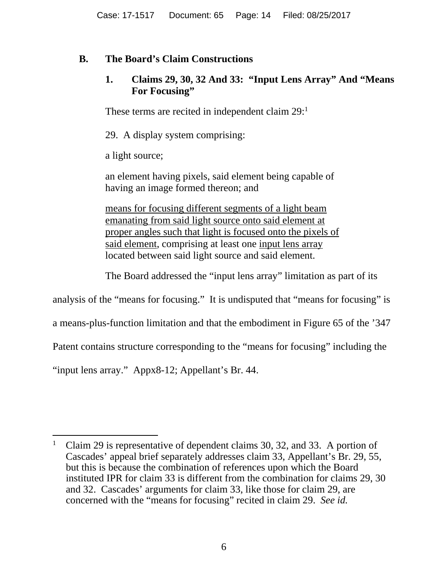## **B. The Board's Claim Constructions**

### **1. Claims 29, 30, 32 And 33: "Input Lens Array" And "Means For Focusing"**

These terms are recited in independent claim 29:<sup>1</sup>

29. A display system comprising:

a light source;

an element having pixels, said element being capable of having an image formed thereon; and

means for focusing different segments of a light beam emanating from said light source onto said element at proper angles such that light is focused onto the pixels of said element, comprising at least one input lens array located between said light source and said element.

The Board addressed the "input lens array" limitation as part of its

analysis of the "means for focusing." It is undisputed that "means for focusing" is

a means-plus-function limitation and that the embodiment in Figure 65 of the '347

Patent contains structure corresponding to the "means for focusing" including the

"input lens array." Appx8-12; Appellant's Br. 44.

<sup>&</sup>lt;sup>1</sup> Claim 29 is representative of dependent claims 30, 32, and 33. A portion of Cascades' appeal brief separately addresses claim 33, Appellant's Br. 29, 55, but this is because the combination of references upon which the Board instituted IPR for claim 33 is different from the combination for claims 29, 30 and 32. Cascades' arguments for claim 33, like those for claim 29, are concerned with the "means for focusing" recited in claim 29. *See id.*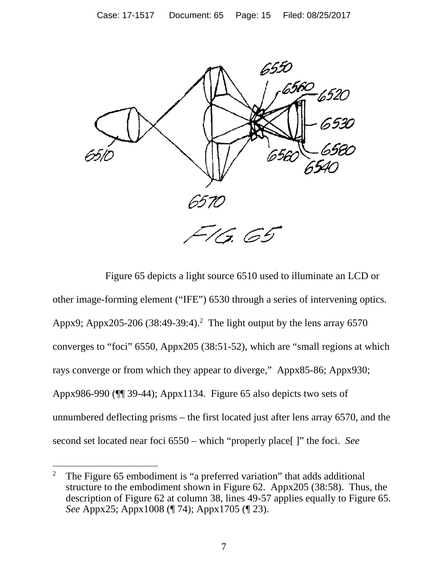

Figure 65 depicts a light source 6510 used to illuminate an LCD or other image-forming element ("IFE") 6530 through a series of intervening optics. Appx9; Appx205-206 (38:49-39:4).<sup>2</sup> The light output by the lens array 6570 converges to "foci" 6550, Appx205 (38:51-52), which are "small regions at which rays converge or from which they appear to diverge," Appx85-86; Appx930; Appx986-990 (¶¶ 39-44); Appx1134. Figure 65 also depicts two sets of unnumbered deflecting prisms – the first located just after lens array 6570, and the second set located near foci 6550 – which "properly place[ ]" the foci. *See* 

<sup>&</sup>lt;sup>2</sup> The Figure 65 embodiment is "a preferred variation" that adds additional structure to the embodiment shown in Figure 62. Appx205 (38:58). Thus, the description of Figure 62 at column 38, lines 49-57 applies equally to Figure 65. *See* Appx25; Appx1008 (¶ 74); Appx1705 (¶ 23).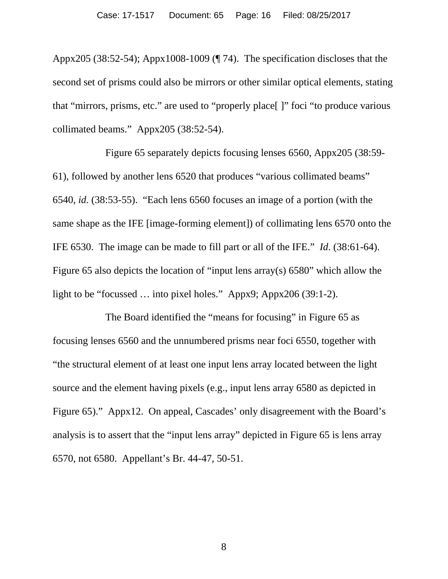Appx205 (38:52-54); Appx1008-1009 (¶ 74). The specification discloses that the second set of prisms could also be mirrors or other similar optical elements, stating that "mirrors, prisms, etc." are used to "properly place[ ]" foci "to produce various collimated beams." Appx205 (38:52-54).

Figure 65 separately depicts focusing lenses 6560, Appx205 (38:59- 61), followed by another lens 6520 that produces "various collimated beams" 6540, *id.* (38:53-55). "Each lens 6560 focuses an image of a portion (with the same shape as the IFE [image-forming element]) of collimating lens 6570 onto the IFE 6530. The image can be made to fill part or all of the IFE." *Id*. (38:61-64). Figure 65 also depicts the location of "input lens array(s) 6580" which allow the light to be "focussed … into pixel holes." Appx9; Appx206 (39:1-2).

The Board identified the "means for focusing" in Figure 65 as focusing lenses 6560 and the unnumbered prisms near foci 6550, together with "the structural element of at least one input lens array located between the light source and the element having pixels (e.g., input lens array 6580 as depicted in Figure 65)." Appx12. On appeal, Cascades' only disagreement with the Board's analysis is to assert that the "input lens array" depicted in Figure 65 is lens array 6570, not 6580. Appellant's Br. 44-47, 50-51.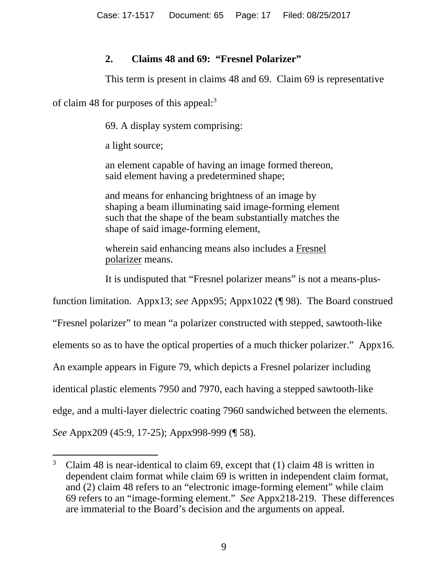### **2. Claims 48 and 69: "Fresnel Polarizer"**

This term is present in claims 48 and 69. Claim 69 is representative

of claim 48 for purposes of this appeal:3

69. A display system comprising:

a light source;

an element capable of having an image formed thereon, said element having a predetermined shape;

and means for enhancing brightness of an image by shaping a beam illuminating said image-forming element such that the shape of the beam substantially matches the shape of said image-forming element,

wherein said enhancing means also includes a Fresnel polarizer means.

It is undisputed that "Fresnel polarizer means" is not a means-plus-

function limitation. Appx13; *see* Appx95; Appx1022 (¶ 98). The Board construed

"Fresnel polarizer" to mean "a polarizer constructed with stepped, sawtooth-like

elements so as to have the optical properties of a much thicker polarizer." Appx16.

An example appears in Figure 79, which depicts a Fresnel polarizer including

identical plastic elements 7950 and 7970, each having a stepped sawtooth-like

edge, and a multi-layer dielectric coating 7960 sandwiched between the elements.

*See* Appx209 (45:9, 17-25); Appx998-999 (¶ 58).

<sup>&</sup>lt;sup>3</sup> Claim 48 is near-identical to claim 69, except that (1) claim 48 is written in dependent claim format while claim 69 is written in independent claim format, and (2) claim 48 refers to an "electronic image-forming element" while claim 69 refers to an "image-forming element." *See* Appx218-219. These differences are immaterial to the Board's decision and the arguments on appeal.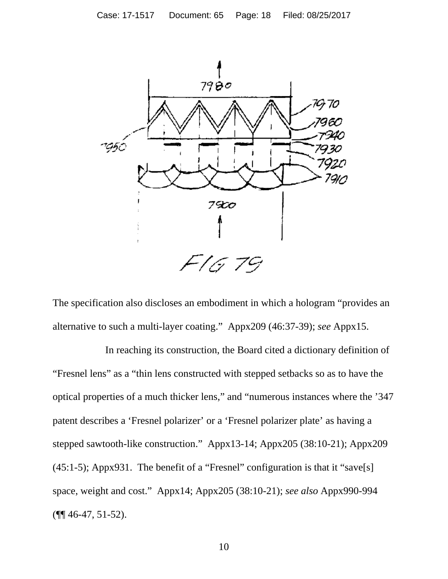

The specification also discloses an embodiment in which a hologram "provides an alternative to such a multi-layer coating." Appx209 (46:37-39); *see* Appx15.

In reaching its construction, the Board cited a dictionary definition of "Fresnel lens" as a "thin lens constructed with stepped setbacks so as to have the optical properties of a much thicker lens," and "numerous instances where the '347 patent describes a 'Fresnel polarizer' or a 'Fresnel polarizer plate' as having a stepped sawtooth-like construction." Appx13-14; Appx205 (38:10-21); Appx209 (45:1-5); Appx931. The benefit of a "Fresnel" configuration is that it "save[s] space, weight and cost." Appx14; Appx205 (38:10-21); *see also* Appx990-994  $(\P\P\P 46-47, 51-52).$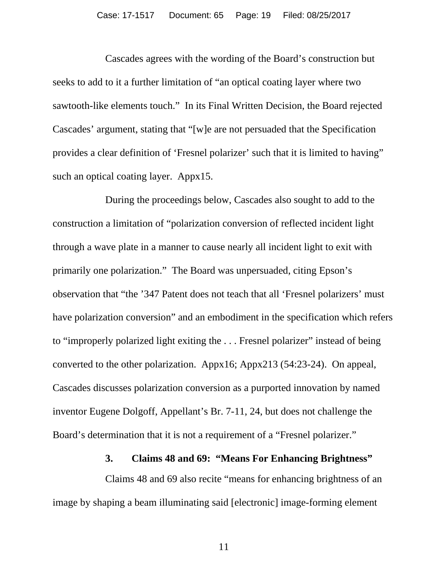Cascades agrees with the wording of the Board's construction but seeks to add to it a further limitation of "an optical coating layer where two sawtooth-like elements touch." In its Final Written Decision, the Board rejected Cascades' argument, stating that "[w]e are not persuaded that the Specification provides a clear definition of 'Fresnel polarizer' such that it is limited to having" such an optical coating layer. Appx15.

During the proceedings below, Cascades also sought to add to the construction a limitation of "polarization conversion of reflected incident light through a wave plate in a manner to cause nearly all incident light to exit with primarily one polarization." The Board was unpersuaded, citing Epson's observation that "the '347 Patent does not teach that all 'Fresnel polarizers' must have polarization conversion" and an embodiment in the specification which refers to "improperly polarized light exiting the . . . Fresnel polarizer" instead of being converted to the other polarization. Appx16; Appx213 (54:23-24). On appeal, Cascades discusses polarization conversion as a purported innovation by named inventor Eugene Dolgoff, Appellant's Br. 7-11, 24, but does not challenge the Board's determination that it is not a requirement of a "Fresnel polarizer."

#### **3. Claims 48 and 69: "Means For Enhancing Brightness"**

Claims 48 and 69 also recite "means for enhancing brightness of an image by shaping a beam illuminating said [electronic] image-forming element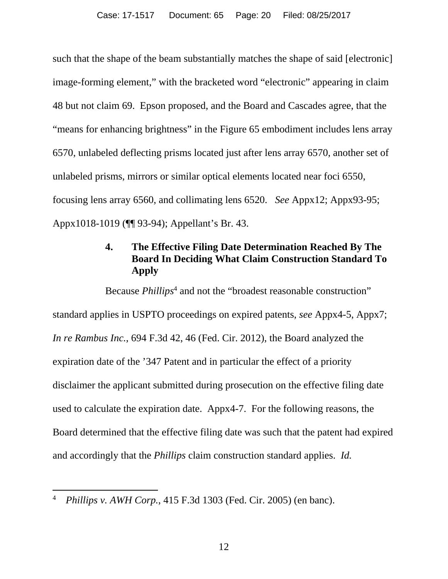such that the shape of the beam substantially matches the shape of said [electronic] image-forming element," with the bracketed word "electronic" appearing in claim 48 but not claim 69. Epson proposed, and the Board and Cascades agree, that the "means for enhancing brightness" in the Figure 65 embodiment includes lens array 6570, unlabeled deflecting prisms located just after lens array 6570, another set of unlabeled prisms, mirrors or similar optical elements located near foci 6550, focusing lens array 6560, and collimating lens 6520. *See* Appx12; Appx93-95; Appx1018-1019 (¶¶ 93-94); Appellant's Br. 43.

## **4. The Effective Filing Date Determination Reached By The Board In Deciding What Claim Construction Standard To Apply**

<span id="page-19-1"></span>Because *Phillips*<sup>4</sup> and not the "broadest reasonable construction" standard applies in USPTO proceedings on expired patents, *see* Appx4-5, Appx7; *In re Rambus Inc.*, 694 F.3d 42, 46 (Fed. Cir. 2012), the Board analyzed the expiration date of the '347 Patent and in particular the effect of a priority disclaimer the applicant submitted during prosecution on the effective filing date used to calculate the expiration date. Appx4-7. For the following reasons, the Board determined that the effective filing date was such that the patent had expired and accordingly that the *Phillips* claim construction standard applies. *Id.*

<span id="page-19-0"></span> <sup>4</sup> *Phillips v. AWH Corp.*, 415 F.3d 1303 (Fed. Cir. 2005) (en banc).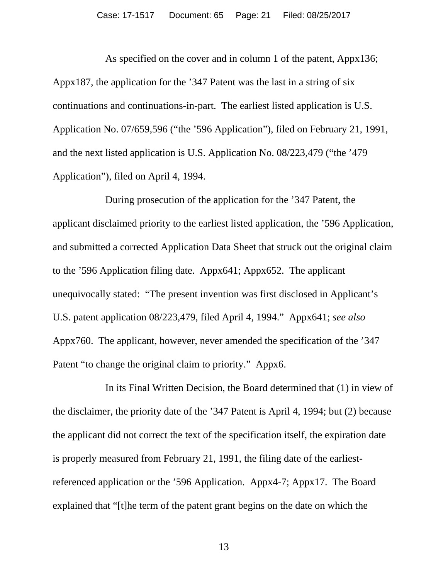As specified on the cover and in column 1 of the patent, Appx136; Appx187, the application for the '347 Patent was the last in a string of six continuations and continuations-in-part. The earliest listed application is U.S. Application No. 07/659,596 ("the '596 Application"), filed on February 21, 1991, and the next listed application is U.S. Application No. 08/223,479 ("the '479 Application"), filed on April 4, 1994.

During prosecution of the application for the '347 Patent, the applicant disclaimed priority to the earliest listed application, the '596 Application, and submitted a corrected Application Data Sheet that struck out the original claim to the '596 Application filing date. Appx641; Appx652. The applicant unequivocally stated: "The present invention was first disclosed in Applicant's U.S. patent application 08/223,479, filed April 4, 1994." Appx641; *see also*  Appx760. The applicant, however, never amended the specification of the '347 Patent "to change the original claim to priority." Appx6.

In its Final Written Decision, the Board determined that (1) in view of the disclaimer, the priority date of the '347 Patent is April 4, 1994; but (2) because the applicant did not correct the text of the specification itself, the expiration date is properly measured from February 21, 1991, the filing date of the earliestreferenced application or the '596 Application. Appx4-7; Appx17. The Board explained that "[t]he term of the patent grant begins on the date on which the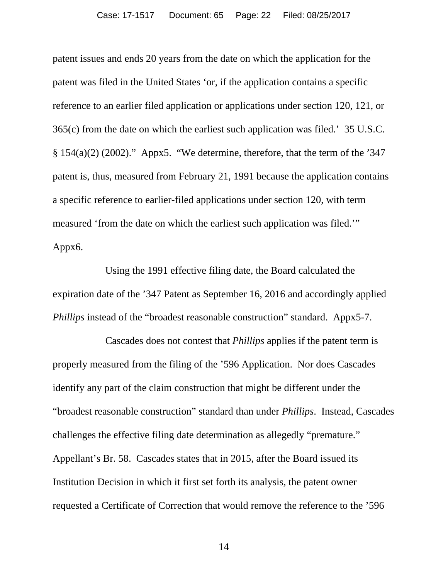<span id="page-21-0"></span>patent issues and ends 20 years from the date on which the application for the patent was filed in the United States 'or, if the application contains a specific reference to an earlier filed application or applications under section 120, 121, or 365(c) from the date on which the earliest such application was filed.' 35 U.S.C.  $§ 154(a)(2) (2002).$ " Appx5. "We determine, therefore, that the term of the '347 patent is, thus, measured from February 21, 1991 because the application contains a specific reference to earlier-filed applications under section 120, with term measured 'from the date on which the earliest such application was filed.'" Appx6.

Using the 1991 effective filing date, the Board calculated the expiration date of the '347 Patent as September 16, 2016 and accordingly applied *Phillips* instead of the "broadest reasonable construction" standard. Appx5-7.

Cascades does not contest that *Phillips* applies if the patent term is properly measured from the filing of the '596 Application. Nor does Cascades identify any part of the claim construction that might be different under the "broadest reasonable construction" standard than under *Phillips*. Instead, Cascades challenges the effective filing date determination as allegedly "premature." Appellant's Br. 58. Cascades states that in 2015, after the Board issued its Institution Decision in which it first set forth its analysis, the patent owner requested a Certificate of Correction that would remove the reference to the '596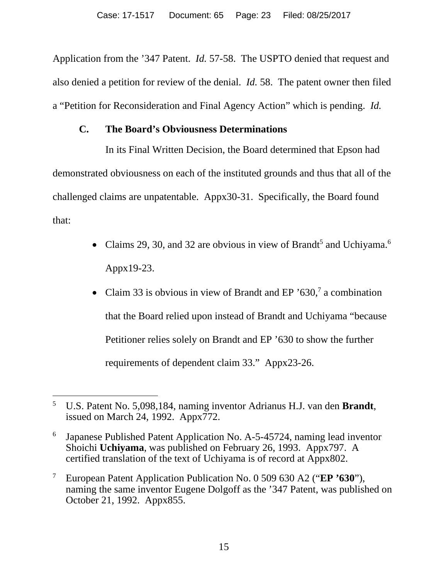Application from the '347 Patent. *Id.* 57-58. The USPTO denied that request and also denied a petition for review of the denial. *Id.* 58.The patent owner then filed a "Petition for Reconsideration and Final Agency Action" which is pending. *Id.*

### **C. The Board's Obviousness Determinations**

In its Final Written Decision, the Board determined that Epson had demonstrated obviousness on each of the instituted grounds and thus that all of the challenged claims are unpatentable. Appx30-31. Specifically, the Board found that:

- Claims 29, 30, and 32 are obvious in view of Brandt<sup>5</sup> and Uchiyama.<sup>6</sup> Appx19-23.
- Claim 33 is obvious in view of Brandt and EP '630,<sup>7</sup> a combination that the Board relied upon instead of Brandt and Uchiyama "because Petitioner relies solely on Brandt and EP '630 to show the further requirements of dependent claim 33." Appx23-26.

 <sup>5</sup> U.S. Patent No. 5,098,184, naming inventor Adrianus H.J. van den **Brandt**, issued on March 24, 1992. Appx772.

<sup>6</sup> Japanese Published Patent Application No. A-5-45724, naming lead inventor Shoichi **Uchiyama**, was published on February 26, 1993. Appx797. A certified translation of the text of Uchiyama is of record at Appx802.

<sup>7</sup> European Patent Application Publication No. 0 509 630 A2 ("**EP '630**"), naming the same inventor Eugene Dolgoff as the '347 Patent, was published on October 21, 1992. Appx855.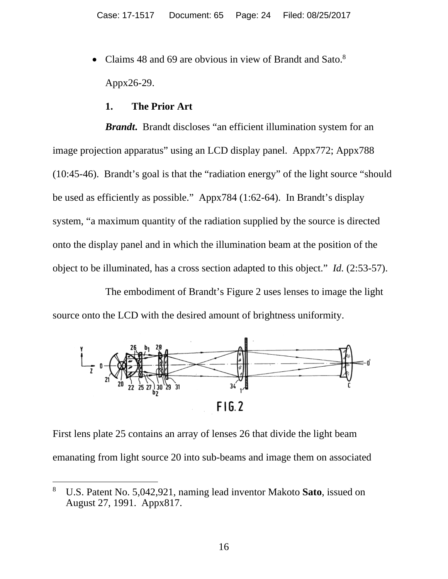• Claims 48 and 69 are obvious in view of Brandt and Sato.<sup>8</sup> Appx26-29.

#### **1. The Prior Art**

*Brandt***.** Brandt discloses "an efficient illumination system for an image projection apparatus" using an LCD display panel. Appx772; Appx788 (10:45-46). Brandt's goal is that the "radiation energy" of the light source "should be used as efficiently as possible." Appx784 (1:62-64). In Brandt's display system, "a maximum quantity of the radiation supplied by the source is directed onto the display panel and in which the illumination beam at the position of the object to be illuminated, has a cross section adapted to this object." *Id.* (2:53-57).

The embodiment of Brandt's Figure 2 uses lenses to image the light source onto the LCD with the desired amount of brightness uniformity.



First lens plate 25 contains an array of lenses 26 that divide the light beam emanating from light source 20 into sub-beams and image them on associated

 <sup>8</sup> U.S. Patent No. 5,042,921, naming lead inventor Makoto **Sato**, issued on August 27, 1991. Appx817.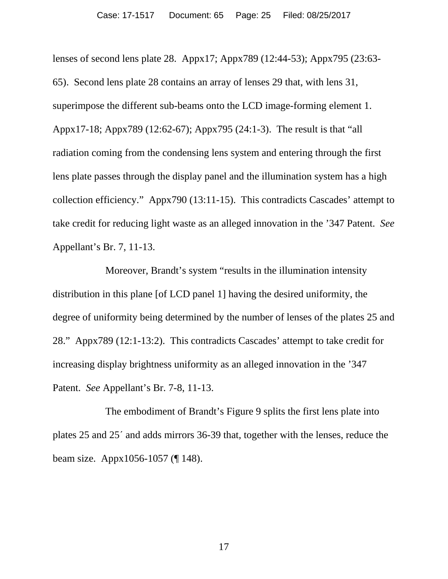lenses of second lens plate 28. Appx17; Appx789 (12:44-53); Appx795 (23:63- 65). Second lens plate 28 contains an array of lenses 29 that, with lens 31, superimpose the different sub-beams onto the LCD image-forming element 1. Appx17-18; Appx789 (12:62-67); Appx795 (24:1-3). The result is that "all radiation coming from the condensing lens system and entering through the first lens plate passes through the display panel and the illumination system has a high collection efficiency." Appx790 (13:11-15). This contradicts Cascades' attempt to take credit for reducing light waste as an alleged innovation in the '347 Patent. *See* Appellant's Br. 7, 11-13.

Moreover, Brandt's system "results in the illumination intensity distribution in this plane [of LCD panel 1] having the desired uniformity, the degree of uniformity being determined by the number of lenses of the plates 25 and 28." Appx789 (12:1-13:2). This contradicts Cascades' attempt to take credit for increasing display brightness uniformity as an alleged innovation in the '347 Patent. *See* Appellant's Br. 7-8, 11-13.

The embodiment of Brandt's Figure 9 splits the first lens plate into plates 25 and 25´ and adds mirrors 36-39 that, together with the lenses, reduce the beam size. Appx1056-1057 (¶ 148).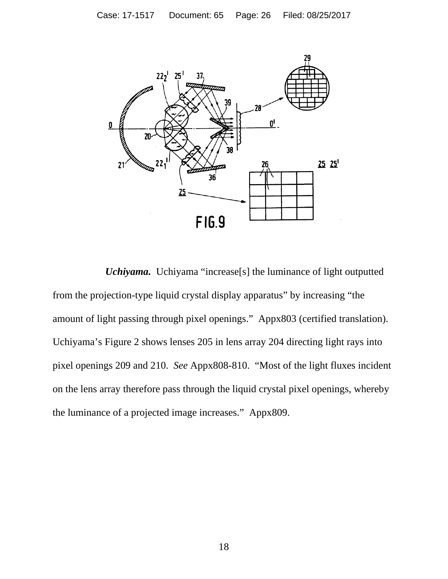

*Uchiyama.*Uchiyama "increase[s] the luminance of light outputted from the projection-type liquid crystal display apparatus" by increasing "the amount of light passing through pixel openings." Appx803 (certified translation). Uchiyama's Figure 2 shows lenses 205 in lens array 204 directing light rays into pixel openings 209 and 210. *See* Appx808-810. "Most of the light fluxes incident on the lens array therefore pass through the liquid crystal pixel openings, whereby the luminance of a projected image increases." Appx809.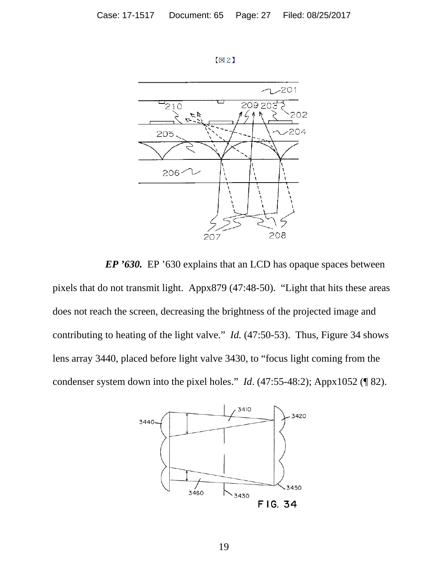



*EP '630.* EP '630 explains that an LCD has opaque spaces between pixels that do not transmit light. Appx879 (47:48-50). "Light that hits these areas does not reach the screen, decreasing the brightness of the projected image and contributing to heating of the light valve." *Id.* (47:50-53). Thus, Figure 34 shows lens array 3440, placed before light valve 3430, to "focus light coming from the condenser system down into the pixel holes." *Id*. (47:55-48:2); Appx1052 (¶ 82).

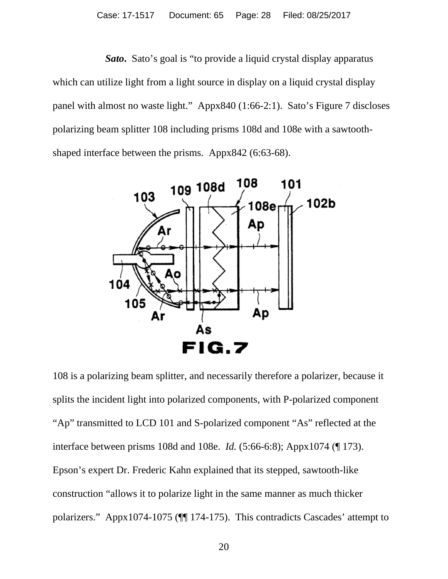*Sato***.** Sato's goal is "to provide a liquid crystal display apparatus which can utilize light from a light source in display on a liquid crystal display panel with almost no waste light." Appx840 (1:66-2:1). Sato's Figure 7 discloses polarizing beam splitter 108 including prisms 108d and 108e with a sawtoothshaped interface between the prisms. Appx842 (6:63-68).



108 is a polarizing beam splitter, and necessarily therefore a polarizer, because it splits the incident light into polarized components, with P-polarized component "Ap" transmitted to LCD 101 and S-polarized component "As" reflected at the interface between prisms 108d and 108e. *Id.* (5:66-6:8); Appx1074 (¶ 173). Epson's expert Dr. Frederic Kahn explained that its stepped, sawtooth-like construction "allows it to polarize light in the same manner as much thicker polarizers." Appx1074-1075 (¶¶ 174-175). This contradicts Cascades' attempt to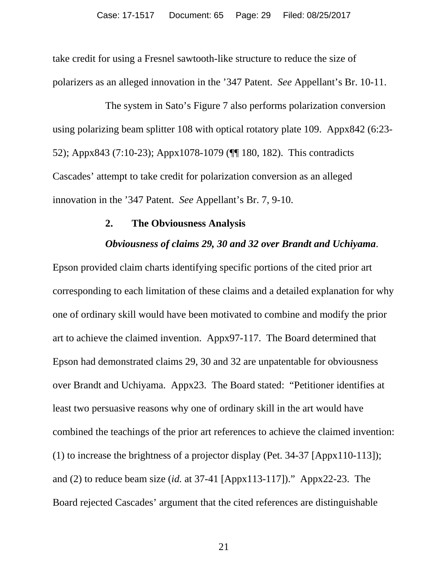take credit for using a Fresnel sawtooth-like structure to reduce the size of polarizers as an alleged innovation in the '347 Patent. *See* Appellant's Br. 10-11.

The system in Sato's Figure 7 also performs polarization conversion using polarizing beam splitter 108 with optical rotatory plate 109. Appx842 (6:23- 52); Appx843 (7:10-23); Appx1078-1079 (¶¶ 180, 182). This contradicts Cascades' attempt to take credit for polarization conversion as an alleged innovation in the '347 Patent. *See* Appellant's Br. 7, 9-10.

#### **2. The Obviousness Analysis**

#### *Obviousness of claims 29, 30 and 32 over Brandt and Uchiyama*.

Epson provided claim charts identifying specific portions of the cited prior art corresponding to each limitation of these claims and a detailed explanation for why one of ordinary skill would have been motivated to combine and modify the prior art to achieve the claimed invention. Appx97-117. The Board determined that Epson had demonstrated claims 29, 30 and 32 are unpatentable for obviousness over Brandt and Uchiyama. Appx23. The Board stated: "Petitioner identifies at least two persuasive reasons why one of ordinary skill in the art would have combined the teachings of the prior art references to achieve the claimed invention: (1) to increase the brightness of a projector display (Pet. 34-37 [Appx110-113]); and (2) to reduce beam size (*id.* at 37-41 [Appx113-117])." Appx22-23. The Board rejected Cascades' argument that the cited references are distinguishable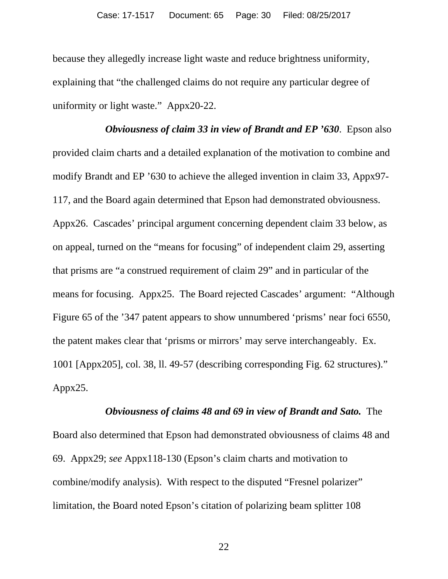because they allegedly increase light waste and reduce brightness uniformity, explaining that "the challenged claims do not require any particular degree of uniformity or light waste." Appx20-22.

*Obviousness of claim 33 in view of Brandt and EP '630*. Epson also provided claim charts and a detailed explanation of the motivation to combine and modify Brandt and EP '630 to achieve the alleged invention in claim 33, Appx97- 117, and the Board again determined that Epson had demonstrated obviousness. Appx26. Cascades' principal argument concerning dependent claim 33 below, as on appeal, turned on the "means for focusing" of independent claim 29, asserting that prisms are "a construed requirement of claim 29" and in particular of the means for focusing. Appx25. The Board rejected Cascades' argument: "Although Figure 65 of the '347 patent appears to show unnumbered 'prisms' near foci 6550, the patent makes clear that 'prisms or mirrors' may serve interchangeably. Ex. 1001 [Appx205], col. 38, ll. 49-57 (describing corresponding Fig. 62 structures)." Appx25.

# *Obviousness of claims 48 and 69 in view of Brandt and Sato.* The Board also determined that Epson had demonstrated obviousness of claims 48 and 69. Appx29; *see* Appx118-130 (Epson's claim charts and motivation to combine/modify analysis). With respect to the disputed "Fresnel polarizer" limitation, the Board noted Epson's citation of polarizing beam splitter 108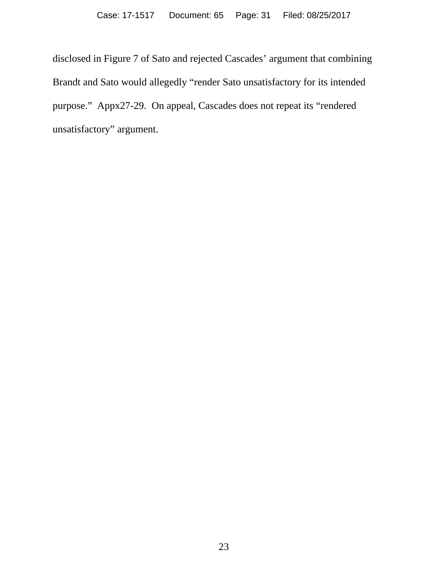disclosed in Figure 7 of Sato and rejected Cascades' argument that combining Brandt and Sato would allegedly "render Sato unsatisfactory for its intended purpose." Appx27-29. On appeal, Cascades does not repeat its "rendered unsatisfactory" argument.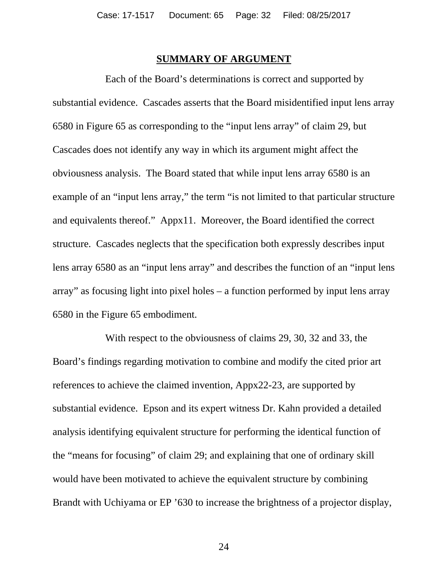#### **SUMMARY OF ARGUMENT**

Each of the Board's determinations is correct and supported by substantial evidence. Cascades asserts that the Board misidentified input lens array 6580 in Figure 65 as corresponding to the "input lens array" of claim 29, but Cascades does not identify any way in which its argument might affect the obviousness analysis. The Board stated that while input lens array 6580 is an example of an "input lens array," the term "is not limited to that particular structure and equivalents thereof." Appx11. Moreover, the Board identified the correct structure. Cascades neglects that the specification both expressly describes input lens array 6580 as an "input lens array" and describes the function of an "input lens array" as focusing light into pixel holes – a function performed by input lens array 6580 in the Figure 65 embodiment.

With respect to the obviousness of claims 29, 30, 32 and 33, the Board's findings regarding motivation to combine and modify the cited prior art references to achieve the claimed invention, Appx22-23, are supported by substantial evidence. Epson and its expert witness Dr. Kahn provided a detailed analysis identifying equivalent structure for performing the identical function of the "means for focusing" of claim 29; and explaining that one of ordinary skill would have been motivated to achieve the equivalent structure by combining Brandt with Uchiyama or EP '630 to increase the brightness of a projector display,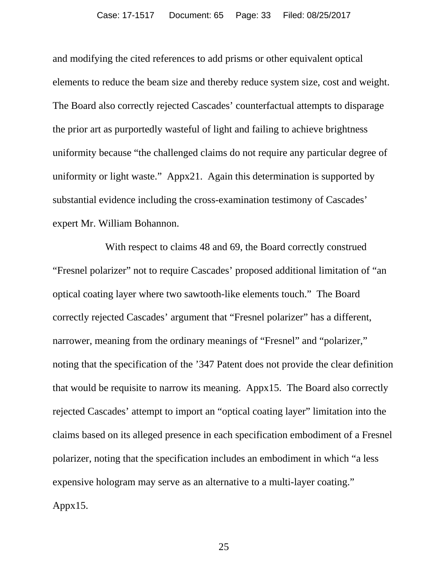and modifying the cited references to add prisms or other equivalent optical elements to reduce the beam size and thereby reduce system size, cost and weight. The Board also correctly rejected Cascades' counterfactual attempts to disparage the prior art as purportedly wasteful of light and failing to achieve brightness uniformity because "the challenged claims do not require any particular degree of uniformity or light waste." Appx21. Again this determination is supported by substantial evidence including the cross-examination testimony of Cascades' expert Mr. William Bohannon.

With respect to claims 48 and 69, the Board correctly construed "Fresnel polarizer" not to require Cascades' proposed additional limitation of "an optical coating layer where two sawtooth-like elements touch." The Board correctly rejected Cascades' argument that "Fresnel polarizer" has a different, narrower, meaning from the ordinary meanings of "Fresnel" and "polarizer," noting that the specification of the '347 Patent does not provide the clear definition that would be requisite to narrow its meaning. Appx15. The Board also correctly rejected Cascades' attempt to import an "optical coating layer" limitation into the claims based on its alleged presence in each specification embodiment of a Fresnel polarizer, noting that the specification includes an embodiment in which "a less expensive hologram may serve as an alternative to a multi-layer coating." Appx15.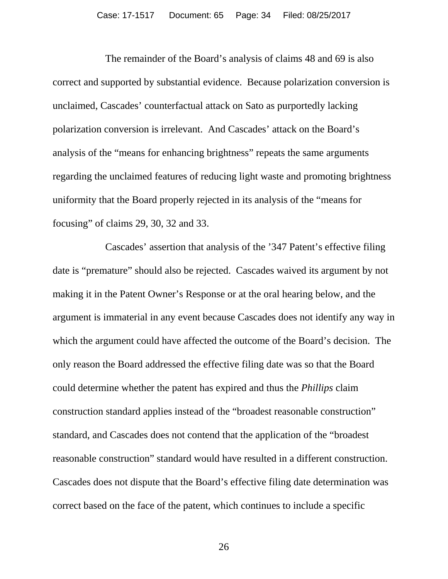The remainder of the Board's analysis of claims 48 and 69 is also correct and supported by substantial evidence. Because polarization conversion is unclaimed, Cascades' counterfactual attack on Sato as purportedly lacking polarization conversion is irrelevant. And Cascades' attack on the Board's analysis of the "means for enhancing brightness" repeats the same arguments regarding the unclaimed features of reducing light waste and promoting brightness uniformity that the Board properly rejected in its analysis of the "means for focusing" of claims 29, 30, 32 and 33.

Cascades' assertion that analysis of the '347 Patent's effective filing date is "premature" should also be rejected. Cascades waived its argument by not making it in the Patent Owner's Response or at the oral hearing below, and the argument is immaterial in any event because Cascades does not identify any way in which the argument could have affected the outcome of the Board's decision. The only reason the Board addressed the effective filing date was so that the Board could determine whether the patent has expired and thus the *Phillips* claim construction standard applies instead of the "broadest reasonable construction" standard, and Cascades does not contend that the application of the "broadest reasonable construction" standard would have resulted in a different construction. Cascades does not dispute that the Board's effective filing date determination was correct based on the face of the patent, which continues to include a specific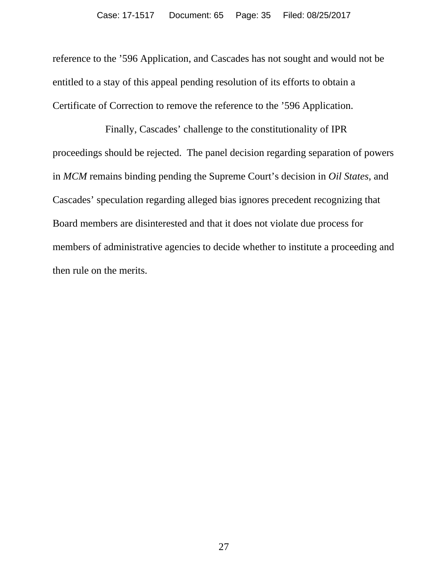reference to the '596 Application, and Cascades has not sought and would not be entitled to a stay of this appeal pending resolution of its efforts to obtain a Certificate of Correction to remove the reference to the '596 Application.

<span id="page-34-0"></span>Finally, Cascades' challenge to the constitutionality of IPR proceedings should be rejected. The panel decision regarding separation of powers in *MCM* remains binding pending the Supreme Court's decision in *Oil States*, and Cascades' speculation regarding alleged bias ignores precedent recognizing that Board members are disinterested and that it does not violate due process for members of administrative agencies to decide whether to institute a proceeding and then rule on the merits.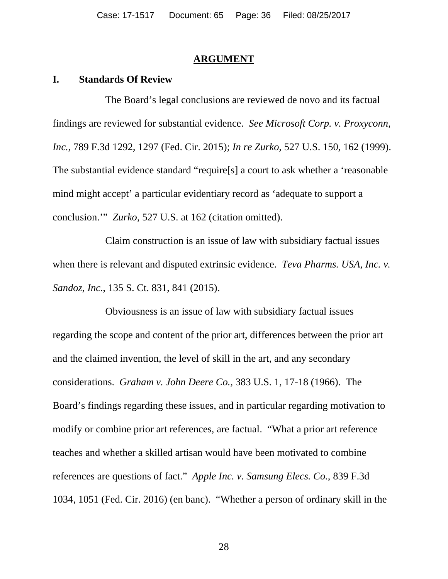#### <span id="page-35-4"></span><span id="page-35-3"></span><span id="page-35-2"></span>**ARGUMENT**

#### **I. Standards Of Review**

The Board's legal conclusions are reviewed de novo and its factual findings are reviewed for substantial evidence. *See Microsoft Corp. v. Proxyconn, Inc.*, 789 F.3d 1292, 1297 (Fed. Cir. 2015); *In re Zurko*, 527 U.S. 150, 162 (1999). The substantial evidence standard "require[s] a court to ask whether a 'reasonable mind might accept' a particular evidentiary record as 'adequate to support a conclusion.'" *Zurko*, 527 U.S. at 162 (citation omitted).

Claim construction is an issue of law with subsidiary factual issues when there is relevant and disputed extrinsic evidence. *Teva Pharms. USA, Inc. v. Sandoz, Inc.*, 135 S. Ct. 831, 841 (2015).

<span id="page-35-1"></span><span id="page-35-0"></span>Obviousness is an issue of law with subsidiary factual issues regarding the scope and content of the prior art, differences between the prior art and the claimed invention, the level of skill in the art, and any secondary considerations. *Graham v. John Deere Co.*, 383 U.S. 1, 17-18 (1966). The Board's findings regarding these issues, and in particular regarding motivation to modify or combine prior art references, are factual. "What a prior art reference teaches and whether a skilled artisan would have been motivated to combine references are questions of fact." *Apple Inc. v. Samsung Elecs. Co.*, 839 F.3d 1034, 1051 (Fed. Cir. 2016) (en banc). "Whether a person of ordinary skill in the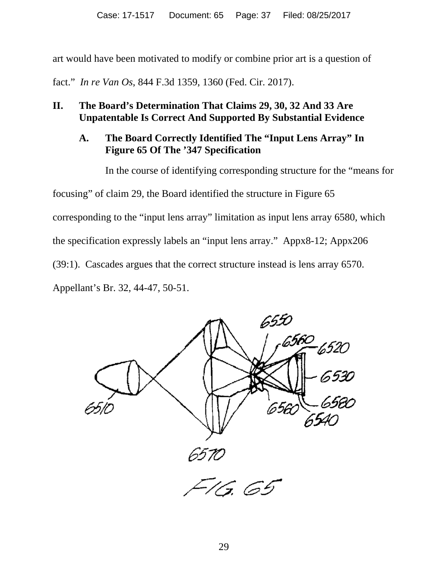art would have been motivated to modify or combine prior art is a question of

fact." *In re Van Os*, 844 F.3d 1359, 1360 (Fed. Cir. 2017).

# **II. The Board's Determination That Claims 29, 30, 32 And 33 Are Unpatentable Is Correct And Supported By Substantial Evidence**

# **A. The Board Correctly Identified The "Input Lens Array" In Figure 65 Of The '347 Specification**

In the course of identifying corresponding structure for the "means for focusing" of claim 29, the Board identified the structure in Figure 65 corresponding to the "input lens array" limitation as input lens array 6580, which the specification expressly labels an "input lens array." Appx8-12; Appx206 (39:1). Cascades argues that the correct structure instead is lens array 6570. Appellant's Br. 32, 44-47, 50-51.

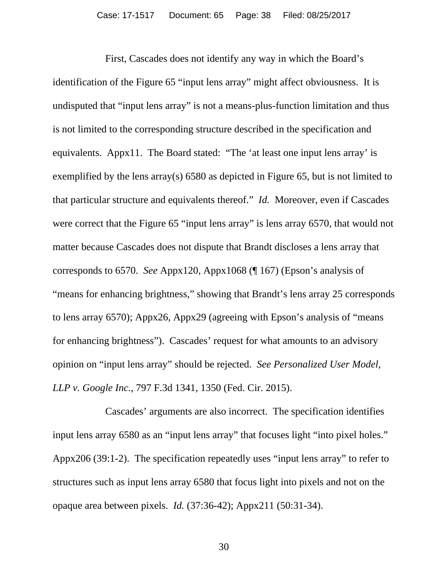First, Cascades does not identify any way in which the Board's identification of the Figure 65 "input lens array" might affect obviousness. It is undisputed that "input lens array" is not a means-plus-function limitation and thus is not limited to the corresponding structure described in the specification and equivalents. Appx11. The Board stated: "The 'at least one input lens array' is exemplified by the lens array(s) 6580 as depicted in Figure 65, but is not limited to that particular structure and equivalents thereof." *Id.* Moreover, even if Cascades were correct that the Figure 65 "input lens array" is lens array 6570, that would not matter because Cascades does not dispute that Brandt discloses a lens array that corresponds to 6570. *See* Appx120, Appx1068 (¶ 167) (Epson's analysis of "means for enhancing brightness," showing that Brandt's lens array 25 corresponds to lens array 6570); Appx26, Appx29 (agreeing with Epson's analysis of "means for enhancing brightness"). Cascades' request for what amounts to an advisory opinion on "input lens array" should be rejected. *See Personalized User Model, LLP v. Google Inc.*, 797 F.3d 1341, 1350 (Fed. Cir. 2015).

Cascades' arguments are also incorrect.The specification identifies input lens array 6580 as an "input lens array" that focuses light "into pixel holes." Appx206 (39:1-2). The specification repeatedly uses "input lens array" to refer to structures such as input lens array 6580 that focus light into pixels and not on the opaque area between pixels. *Id.* (37:36-42); Appx211 (50:31-34).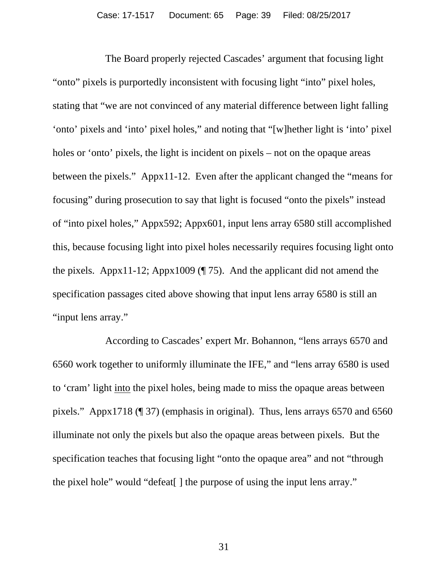The Board properly rejected Cascades' argument that focusing light "onto" pixels is purportedly inconsistent with focusing light "into" pixel holes, stating that "we are not convinced of any material difference between light falling 'onto' pixels and 'into' pixel holes," and noting that "[w]hether light is 'into' pixel holes or 'onto' pixels, the light is incident on pixels – not on the opaque areas between the pixels." Appx11-12. Even after the applicant changed the "means for focusing" during prosecution to say that light is focused "onto the pixels" instead of "into pixel holes," Appx592; Appx601, input lens array 6580 still accomplished this, because focusing light into pixel holes necessarily requires focusing light onto the pixels. Appx11-12; Appx1009 (¶ 75). And the applicant did not amend the specification passages cited above showing that input lens array 6580 is still an "input lens array."

According to Cascades' expert Mr. Bohannon, "lens arrays 6570 and 6560 work together to uniformly illuminate the IFE," and "lens array 6580 is used to 'cram' light into the pixel holes, being made to miss the opaque areas between pixels." Appx1718 (¶ 37) (emphasis in original). Thus, lens arrays 6570 and 6560 illuminate not only the pixels but also the opaque areas between pixels. But the specification teaches that focusing light "onto the opaque area" and not "through the pixel hole" would "defeat[ ] the purpose of using the input lens array."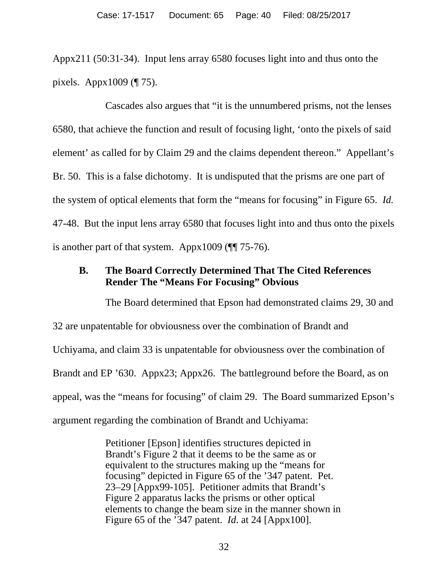Appx211 (50:31-34). Input lens array 6580 focuses light into and thus onto the pixels. Appx1009 (¶ 75).

Cascades also argues that "it is the unnumbered prisms, not the lenses 6580, that achieve the function and result of focusing light, 'onto the pixels of said element' as called for by Claim 29 and the claims dependent thereon." Appellant's Br. 50. This is a false dichotomy. It is undisputed that the prisms are one part of the system of optical elements that form the "means for focusing" in Figure 65. *Id.* 47-48. But the input lens array 6580 that focuses light into and thus onto the pixels is another part of that system. Appx1009 (¶¶ 75-76).

# **B. The Board Correctly Determined That The Cited References Render The "Means For Focusing" Obvious**

The Board determined that Epson had demonstrated claims 29, 30 and 32 are unpatentable for obviousness over the combination of Brandt and Uchiyama, and claim 33 is unpatentable for obviousness over the combination of Brandt and EP '630. Appx23; Appx26. The battleground before the Board, as on appeal, was the "means for focusing" of claim 29. The Board summarized Epson's argument regarding the combination of Brandt and Uchiyama:

> Petitioner [Epson] identifies structures depicted in Brandt's Figure 2 that it deems to be the same as or equivalent to the structures making up the "means for focusing" depicted in Figure 65 of the '347 patent. Pet. 23–29 [Appx99-105]. Petitioner admits that Brandt's Figure 2 apparatus lacks the prisms or other optical elements to change the beam size in the manner shown in Figure 65 of the '347 patent. *Id*. at 24 [Appx100].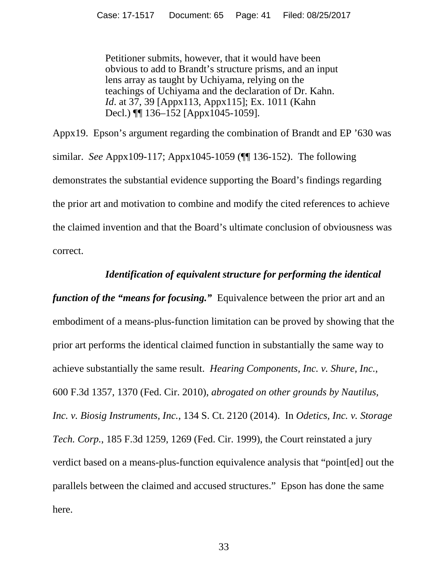Petitioner submits, however, that it would have been obvious to add to Brandt's structure prisms, and an input lens array as taught by Uchiyama, relying on the teachings of Uchiyama and the declaration of Dr. Kahn. *Id*. at 37, 39 [Appx113, Appx115]; Ex. 1011 (Kahn Decl.) **[14.4145-1059]**.

Appx19. Epson's argument regarding the combination of Brandt and EP '630 was similar. *See* Appx109-117; Appx1045-1059 (¶¶ 136-152). The following demonstrates the substantial evidence supporting the Board's findings regarding the prior art and motivation to combine and modify the cited references to achieve the claimed invention and that the Board's ultimate conclusion of obviousness was correct.

#### *Identification of equivalent structure for performing the identical*

*function of the "means for focusing."* Equivalence between the prior art and an embodiment of a means-plus-function limitation can be proved by showing that the prior art performs the identical claimed function in substantially the same way to achieve substantially the same result. *Hearing Components, Inc. v. Shure, Inc.*, 600 F.3d 1357, 1370 (Fed. Cir. 2010), *abrogated on other grounds by Nautilus, Inc. v. Biosig Instruments, Inc.*, 134 S. Ct. 2120 (2014). In *Odetics, Inc. v. Storage Tech. Corp.*, 185 F.3d 1259, 1269 (Fed. Cir. 1999), the Court reinstated a jury verdict based on a means-plus-function equivalence analysis that "point[ed] out the parallels between the claimed and accused structures." Epson has done the same here.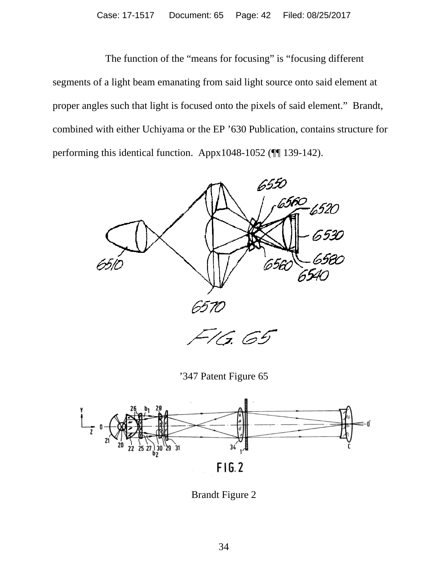The function of the "means for focusing" is "focusing different segments of a light beam emanating from said light source onto said element at proper angles such that light is focused onto the pixels of said element." Brandt, combined with either Uchiyama or the EP '630 Publication, contains structure for performing this identical function. Appx1048-1052 (¶¶ 139-142).



'347 Patent Figure 65



Brandt Figure 2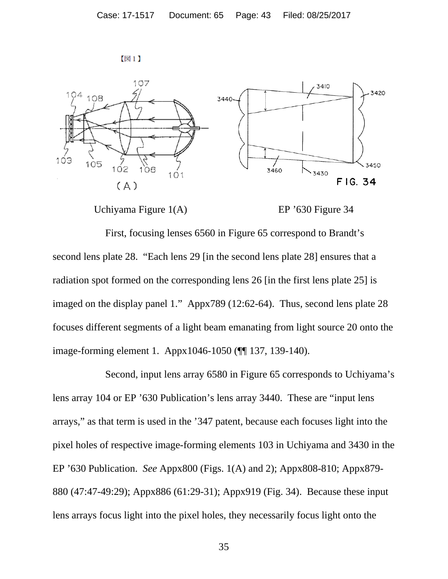



#### Uchiyama Figure 1(A) EP '630 Figure 34

First, focusing lenses 6560 in Figure 65 correspond to Brandt's second lens plate 28. "Each lens 29 [in the second lens plate 28] ensures that a radiation spot formed on the corresponding lens 26 [in the first lens plate 25] is imaged on the display panel 1." Appx789 (12:62-64). Thus, second lens plate 28 focuses different segments of a light beam emanating from light source 20 onto the image-forming element 1. Appx1046-1050 (¶¶ 137, 139-140).

Second, input lens array 6580 in Figure 65 corresponds to Uchiyama's lens array 104 or EP '630 Publication's lens array 3440. These are "input lens arrays," as that term is used in the '347 patent, because each focuses light into the pixel holes of respective image-forming elements 103 in Uchiyama and 3430 in the EP '630 Publication. *See* Appx800 (Figs. 1(A) and 2); Appx808-810; Appx879- 880 (47:47-49:29); Appx886 (61:29-31); Appx919 (Fig. 34). Because these input lens arrays focus light into the pixel holes, they necessarily focus light onto the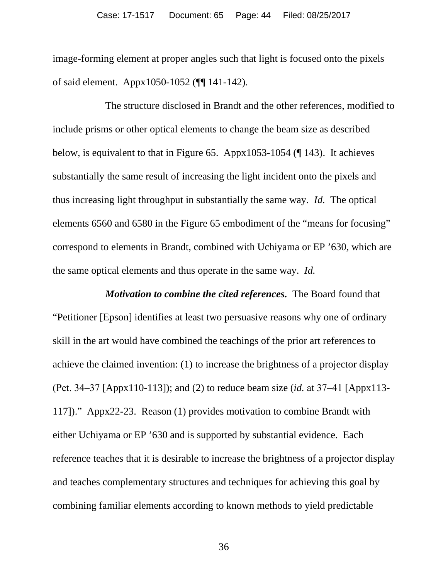image-forming element at proper angles such that light is focused onto the pixels of said element. Appx1050-1052 (¶¶ 141-142).

The structure disclosed in Brandt and the other references, modified to include prisms or other optical elements to change the beam size as described below, is equivalent to that in Figure 65. Appx1053-1054 (¶ 143). It achieves substantially the same result of increasing the light incident onto the pixels and thus increasing light throughput in substantially the same way. *Id.* The optical elements 6560 and 6580 in the Figure 65 embodiment of the "means for focusing" correspond to elements in Brandt, combined with Uchiyama or EP '630, which are the same optical elements and thus operate in the same way. *Id.*

*Motivation to combine the cited references.* The Board found that "Petitioner [Epson] identifies at least two persuasive reasons why one of ordinary skill in the art would have combined the teachings of the prior art references to achieve the claimed invention: (1) to increase the brightness of a projector display (Pet. 34‒37 [Appx110-113]); and (2) to reduce beam size (*id.* at 37‒41 [Appx113- 117])." Appx22-23. Reason (1) provides motivation to combine Brandt with either Uchiyama or EP '630 and is supported by substantial evidence. Each reference teaches that it is desirable to increase the brightness of a projector display and teaches complementary structures and techniques for achieving this goal by combining familiar elements according to known methods to yield predictable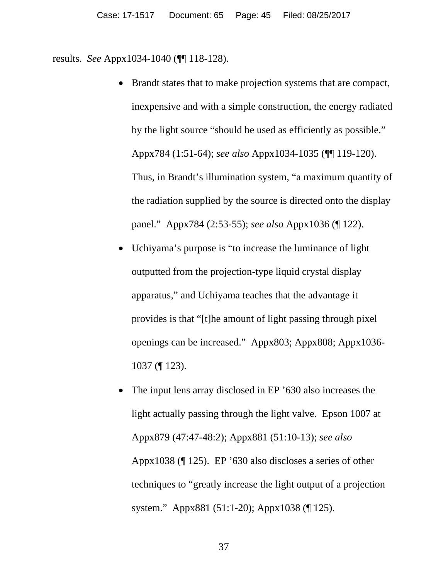results. *See* Appx1034-1040 (¶¶ 118-128).

- Brandt states that to make projection systems that are compact, inexpensive and with a simple construction, the energy radiated by the light source "should be used as efficiently as possible." Appx784 (1:51-64); *see also* Appx1034-1035 (¶¶ 119-120). Thus, in Brandt's illumination system, "a maximum quantity of the radiation supplied by the source is directed onto the display panel." Appx784 (2:53-55); *see also* Appx1036 (¶ 122).
- Uchiyama's purpose is "to increase the luminance of light outputted from the projection-type liquid crystal display apparatus," and Uchiyama teaches that the advantage it provides is that "[t]he amount of light passing through pixel openings can be increased." Appx803; Appx808; Appx1036- 1037 (¶ 123).
- The input lens array disclosed in EP '630 also increases the light actually passing through the light valve. Epson 1007 at Appx879 (47:47-48:2); Appx881 (51:10-13); *see also*  Appx1038 (¶ 125). EP '630 also discloses a series of other techniques to "greatly increase the light output of a projection system." Appx881 (51:1-20); Appx1038 (¶ 125).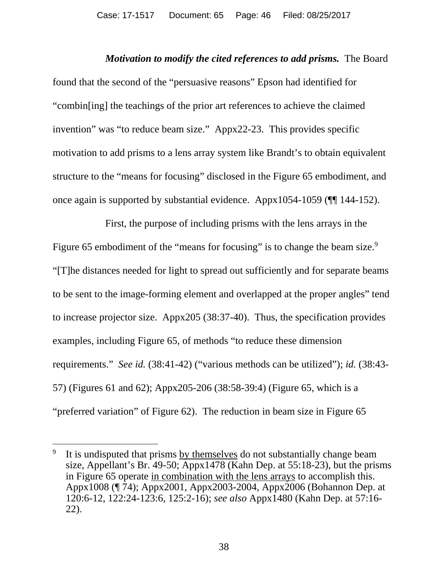*Motivation to modify the cited references to add prisms.* The Board found that the second of the "persuasive reasons" Epson had identified for "combin[ing] the teachings of the prior art references to achieve the claimed invention" was "to reduce beam size." Appx22-23. This provides specific motivation to add prisms to a lens array system like Brandt's to obtain equivalent structure to the "means for focusing" disclosed in the Figure 65 embodiment, and once again is supported by substantial evidence. Appx1054-1059 (¶¶ 144-152).

First, the purpose of including prisms with the lens arrays in the Figure 65 embodiment of the "means for focusing" is to change the beam size.<sup>9</sup> "[T]he distances needed for light to spread out sufficiently and for separate beams to be sent to the image-forming element and overlapped at the proper angles" tend to increase projector size. Appx205 (38:37-40). Thus, the specification provides examples, including Figure 65, of methods "to reduce these dimension requirements." *See id.* (38:41-42) ("various methods can be utilized"); *id.* (38:43- 57) (Figures 61 and 62); Appx205-206 (38:58-39:4) (Figure 65, which is a "preferred variation" of Figure 62). The reduction in beam size in Figure 65

It is undisputed that prisms by themselves do not substantially change beam size, Appellant's Br. 49-50; Appx1478 (Kahn Dep. at 55:18-23), but the prisms in Figure 65 operate in combination with the lens arrays to accomplish this. Appx1008 (¶ 74); Appx2001, Appx2003-2004, Appx2006 (Bohannon Dep. at 120:6-12, 122:24-123:6, 125:2-16); *see also* Appx1480 (Kahn Dep. at 57:16- 22).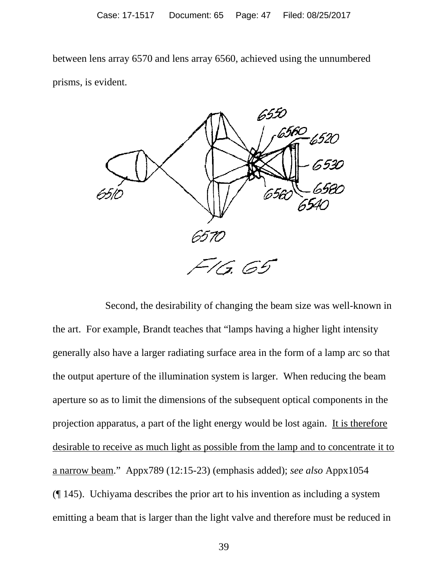between lens array 6570 and lens array 6560, achieved using the unnumbered prisms, is evident.



Second, the desirability of changing the beam size was well-known in the art. For example, Brandt teaches that "lamps having a higher light intensity generally also have a larger radiating surface area in the form of a lamp arc so that the output aperture of the illumination system is larger. When reducing the beam aperture so as to limit the dimensions of the subsequent optical components in the projection apparatus, a part of the light energy would be lost again. It is therefore desirable to receive as much light as possible from the lamp and to concentrate it to a narrow beam." Appx789 (12:15-23) (emphasis added); *see also* Appx1054 (¶ 145). Uchiyama describes the prior art to his invention as including a system emitting a beam that is larger than the light valve and therefore must be reduced in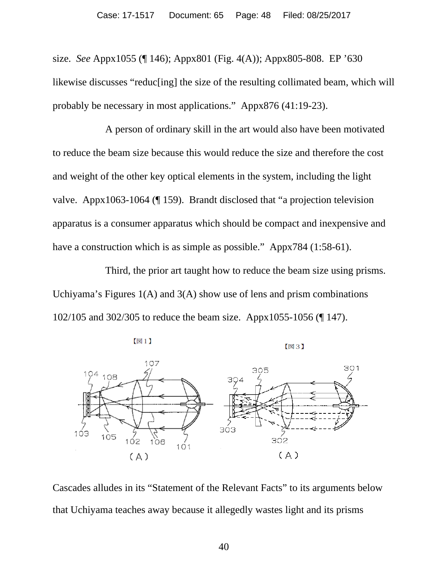size. *See* Appx1055 (¶ 146); Appx801 (Fig. 4(A)); Appx805-808. EP '630 likewise discusses "reduc[ing] the size of the resulting collimated beam, which will probably be necessary in most applications." Appx876 (41:19-23).

A person of ordinary skill in the art would also have been motivated to reduce the beam size because this would reduce the size and therefore the cost and weight of the other key optical elements in the system, including the light valve. Appx1063-1064 (¶ 159). Brandt disclosed that "a projection television apparatus is a consumer apparatus which should be compact and inexpensive and have a construction which is as simple as possible." Appx784 (1:58-61).

Third, the prior art taught how to reduce the beam size using prisms. Uchiyama's Figures  $1(A)$  and  $3(A)$  show use of lens and prism combinations 102/105 and 302/305 to reduce the beam size. Appx1055-1056 (¶ 147).



【図3】



Cascades alludes in its "Statement of the Relevant Facts" to its arguments below that Uchiyama teaches away because it allegedly wastes light and its prisms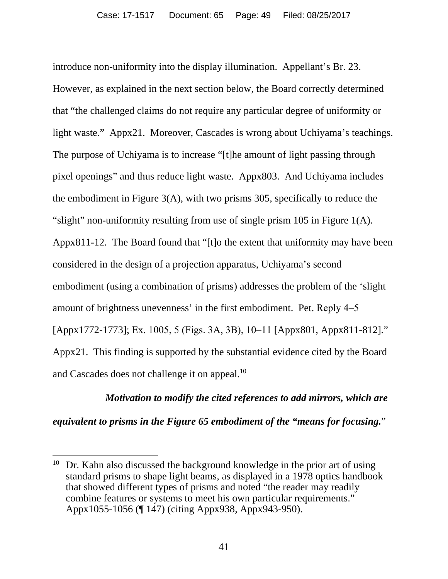introduce non-uniformity into the display illumination. Appellant's Br. 23. However, as explained in the next section below, the Board correctly determined that "the challenged claims do not require any particular degree of uniformity or light waste." Appx21. Moreover, Cascades is wrong about Uchiyama's teachings. The purpose of Uchiyama is to increase "[t]he amount of light passing through pixel openings" and thus reduce light waste. Appx803. And Uchiyama includes the embodiment in Figure 3(A), with two prisms 305, specifically to reduce the "slight" non-uniformity resulting from use of single prism 105 in Figure 1(A). Appx811-12. The Board found that "[t]o the extent that uniformity may have been considered in the design of a projection apparatus, Uchiyama's second embodiment (using a combination of prisms) addresses the problem of the 'slight amount of brightness unevenness' in the first embodiment. Pet. Reply 4‒5 [Appx1772-1773]; Ex. 1005, 5 (Figs. 3A, 3B), 10‒11 [Appx801, Appx811-812]." Appx21. This finding is supported by the substantial evidence cited by the Board and Cascades does not challenge it on appeal.<sup>10</sup>

*Motivation to modify the cited references to add mirrors, which are equivalent to prisms in the Figure 65 embodiment of the "means for focusing.*"

<sup>&</sup>lt;sup>10</sup> Dr. Kahn also discussed the background knowledge in the prior art of using standard prisms to shape light beams, as displayed in a 1978 optics handbook that showed different types of prisms and noted "the reader may readily combine features or systems to meet his own particular requirements." Appx1055-1056 (¶ 147) (citing Appx938, Appx943-950).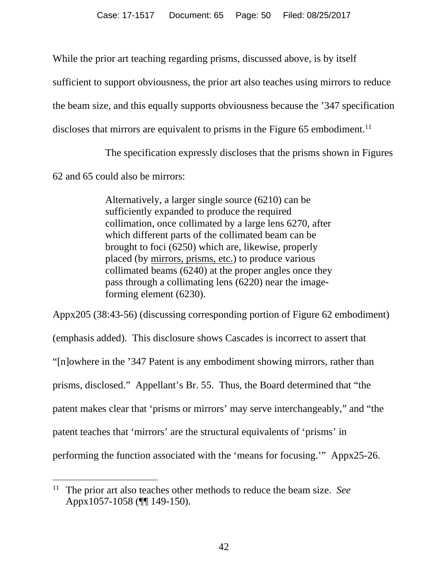While the prior art teaching regarding prisms, discussed above, is by itself

sufficient to support obviousness, the prior art also teaches using mirrors to reduce

the beam size, and this equally supports obviousness because the '347 specification

discloses that mirrors are equivalent to prisms in the Figure  $65$  embodiment.<sup>11</sup>

The specification expressly discloses that the prisms shown in Figures

62 and 65 could also be mirrors:

Alternatively, a larger single source (6210) can be sufficiently expanded to produce the required collimation, once collimated by a large lens 6270, after which different parts of the collimated beam can be brought to foci (6250) which are, likewise, properly placed (by mirrors, prisms, etc.) to produce various collimated beams (6240) at the proper angles once they pass through a collimating lens (6220) near the imageforming element (6230).

Appx205 (38:43-56) (discussing corresponding portion of Figure 62 embodiment) (emphasis added). This disclosure shows Cascades is incorrect to assert that "[n]owhere in the '347 Patent is any embodiment showing mirrors, rather than prisms, disclosed." Appellant's Br. 55. Thus, the Board determined that "the patent makes clear that 'prisms or mirrors' may serve interchangeably," and "the patent teaches that 'mirrors' are the structural equivalents of 'prisms' in performing the function associated with the 'means for focusing.'" Appx25-26.

 <sup>11</sup> The prior art also teaches other methods to reduce the beam size. *See* Appx1057-1058 (¶¶ 149-150).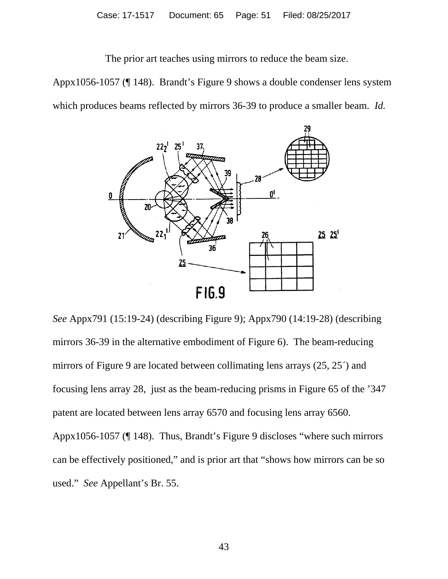The prior art teaches using mirrors to reduce the beam size.

Appx1056-1057 (¶ 148). Brandt's Figure 9 shows a double condenser lens system which produces beams reflected by mirrors 36-39 to produce a smaller beam. *Id.*



*See* Appx791 (15:19-24) (describing Figure 9); Appx790 (14:19-28) (describing mirrors 36-39 in the alternative embodiment of Figure 6). The beam-reducing mirrors of Figure 9 are located between collimating lens arrays (25, 25´) and focusing lens array 28, just as the beam-reducing prisms in Figure 65 of the '347 patent are located between lens array 6570 and focusing lens array 6560. Appx1056-1057 (¶ 148). Thus, Brandt's Figure 9 discloses "where such mirrors can be effectively positioned," and is prior art that "shows how mirrors can be so used." *See* Appellant's Br. 55.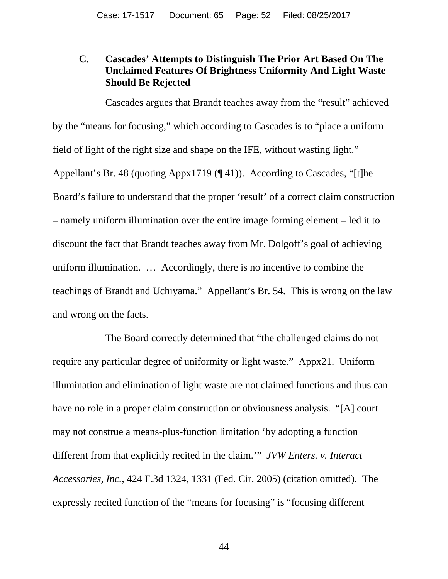#### **C. Cascades' Attempts to Distinguish The Prior Art Based On The Unclaimed Features Of Brightness Uniformity And Light Waste Should Be Rejected**

Cascades argues that Brandt teaches away from the "result" achieved by the "means for focusing," which according to Cascades is to "place a uniform field of light of the right size and shape on the IFE, without wasting light." Appellant's Br. 48 (quoting Appx1719 (¶ 41)). According to Cascades, "[t]he Board's failure to understand that the proper 'result' of a correct claim construction – namely uniform illumination over the entire image forming element – led it to discount the fact that Brandt teaches away from Mr. Dolgoff's goal of achieving uniform illumination. … Accordingly, there is no incentive to combine the teachings of Brandt and Uchiyama." Appellant's Br. 54. This is wrong on the law and wrong on the facts.

The Board correctly determined that "the challenged claims do not require any particular degree of uniformity or light waste." Appx21. Uniform illumination and elimination of light waste are not claimed functions and thus can have no role in a proper claim construction or obviousness analysis. "[A] court may not construe a means-plus-function limitation 'by adopting a function different from that explicitly recited in the claim.'" *JVW Enters. v. Interact Accessories, Inc.*, 424 F.3d 1324, 1331 (Fed. Cir. 2005) (citation omitted). The expressly recited function of the "means for focusing" is "focusing different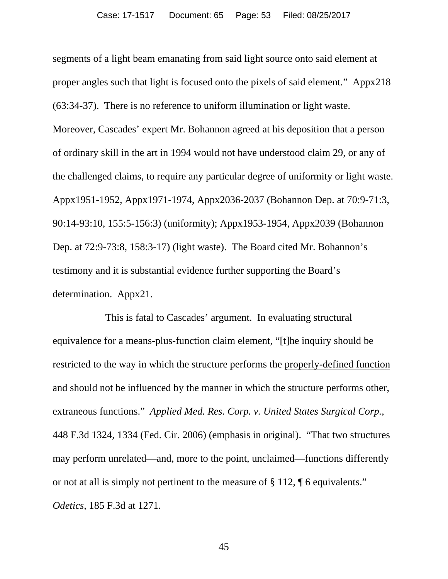segments of a light beam emanating from said light source onto said element at proper angles such that light is focused onto the pixels of said element." Appx218 (63:34-37). There is no reference to uniform illumination or light waste. Moreover, Cascades' expert Mr. Bohannon agreed at his deposition that a person of ordinary skill in the art in 1994 would not have understood claim 29, or any of the challenged claims, to require any particular degree of uniformity or light waste. Appx1951-1952, Appx1971-1974, Appx2036-2037 (Bohannon Dep. at 70:9-71:3, 90:14-93:10, 155:5-156:3) (uniformity); Appx1953-1954, Appx2039 (Bohannon Dep. at 72:9-73:8, 158:3-17) (light waste). The Board cited Mr. Bohannon's testimony and it is substantial evidence further supporting the Board's determination. Appx21.

This is fatal to Cascades' argument. In evaluating structural equivalence for a means-plus-function claim element, "[t]he inquiry should be restricted to the way in which the structure performs the properly-defined function and should not be influenced by the manner in which the structure performs other, extraneous functions." *Applied Med. Res. Corp. v. United States Surgical Corp.*, 448 F.3d 1324, 1334 (Fed. Cir. 2006) (emphasis in original). "That two structures may perform unrelated—and, more to the point, unclaimed—functions differently or not at all is simply not pertinent to the measure of § 112, ¶ 6 equivalents." *Odetics*, 185 F.3d at 1271.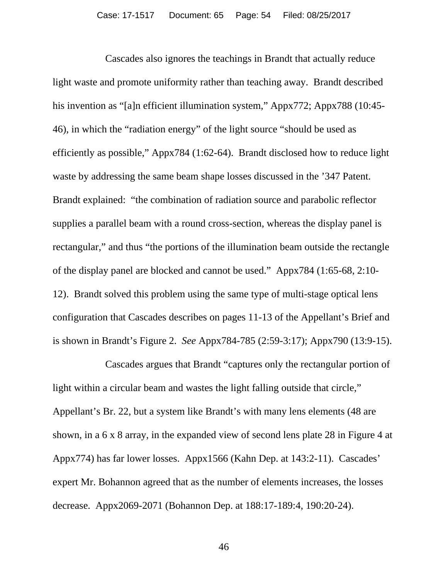Cascades also ignores the teachings in Brandt that actually reduce light waste and promote uniformity rather than teaching away. Brandt described his invention as "[a]n efficient illumination system," Appx772; Appx788 (10:45-46), in which the "radiation energy" of the light source "should be used as efficiently as possible," Appx784 (1:62-64). Brandt disclosed how to reduce light waste by addressing the same beam shape losses discussed in the '347 Patent. Brandt explained: "the combination of radiation source and parabolic reflector supplies a parallel beam with a round cross-section, whereas the display panel is rectangular," and thus "the portions of the illumination beam outside the rectangle of the display panel are blocked and cannot be used." Appx784 (1:65-68, 2:10- 12). Brandt solved this problem using the same type of multi-stage optical lens configuration that Cascades describes on pages 11-13 of the Appellant's Brief and is shown in Brandt's Figure 2. *See* Appx784-785 (2:59-3:17); Appx790 (13:9-15).

Cascades argues that Brandt "captures only the rectangular portion of light within a circular beam and wastes the light falling outside that circle," Appellant's Br. 22, but a system like Brandt's with many lens elements (48 are shown, in a 6 x 8 array, in the expanded view of second lens plate 28 in Figure 4 at Appx774) has far lower losses. Appx1566 (Kahn Dep. at 143:2-11). Cascades' expert Mr. Bohannon agreed that as the number of elements increases, the losses decrease. Appx2069-2071 (Bohannon Dep. at 188:17-189:4, 190:20-24).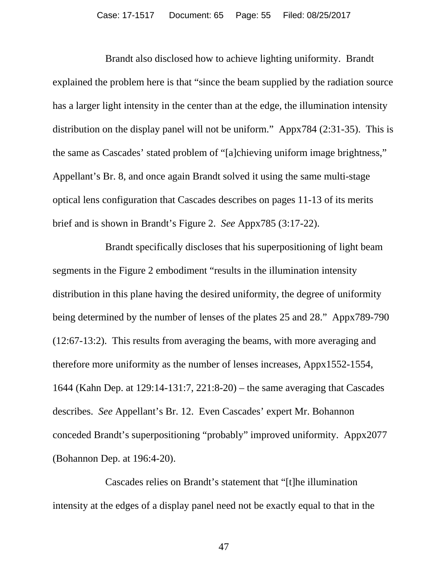Brandt also disclosed how to achieve lighting uniformity.Brandt explained the problem here is that "since the beam supplied by the radiation source has a larger light intensity in the center than at the edge, the illumination intensity distribution on the display panel will not be uniform." Appx784 (2:31-35). This is the same as Cascades' stated problem of "[a]chieving uniform image brightness," Appellant's Br. 8, and once again Brandt solved it using the same multi-stage optical lens configuration that Cascades describes on pages 11-13 of its merits brief and is shown in Brandt's Figure 2. *See* Appx785 (3:17-22).

Brandt specifically discloses that his superpositioning of light beam segments in the Figure 2 embodiment "results in the illumination intensity distribution in this plane having the desired uniformity, the degree of uniformity being determined by the number of lenses of the plates 25 and 28." Appx789-790 (12:67-13:2). This results from averaging the beams, with more averaging and therefore more uniformity as the number of lenses increases, Appx1552-1554, 1644 (Kahn Dep. at 129:14-131:7, 221:8-20) – the same averaging that Cascades describes. *See* Appellant's Br. 12. Even Cascades' expert Mr. Bohannon conceded Brandt's superpositioning "probably" improved uniformity. Appx2077 (Bohannon Dep. at 196:4-20).

Cascades relies on Brandt's statement that "[t]he illumination intensity at the edges of a display panel need not be exactly equal to that in the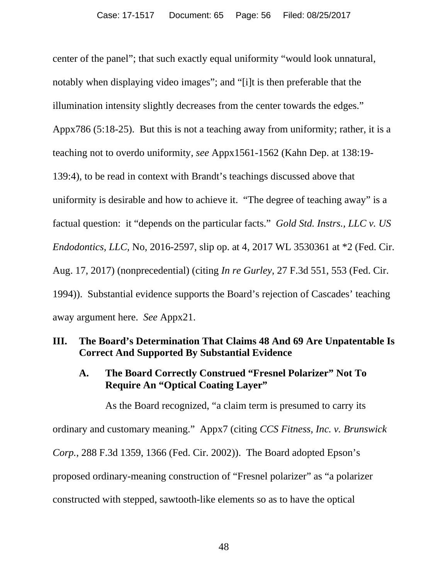center of the panel"; that such exactly equal uniformity "would look unnatural, notably when displaying video images"; and "[i]t is then preferable that the illumination intensity slightly decreases from the center towards the edges." Appx786 (5:18-25). But this is not a teaching away from uniformity; rather, it is a teaching not to overdo uniformity, *see* Appx1561-1562 (Kahn Dep. at 138:19- 139:4), to be read in context with Brandt's teachings discussed above that uniformity is desirable and how to achieve it. "The degree of teaching away" is a factual question: it "depends on the particular facts." *Gold Std. Instrs., LLC v. US Endodontics, LLC*, No, 2016-2597, slip op. at 4, 2017 WL 3530361 at \*2 (Fed. Cir. Aug. 17, 2017) (nonprecedential) (citing *In re Gurley*, 27 F.3d 551, 553 (Fed. Cir. 1994)). Substantial evidence supports the Board's rejection of Cascades' teaching away argument here. *See* Appx21.

# **III. The Board's Determination That Claims 48 And 69 Are Unpatentable Is Correct And Supported By Substantial Evidence**

# **A. The Board Correctly Construed "Fresnel Polarizer" Not To Require An "Optical Coating Layer"**

As the Board recognized, "a claim term is presumed to carry its ordinary and customary meaning." Appx7 (citing *CCS Fitness, Inc. v. Brunswick Corp.*, 288 F.3d 1359, 1366 (Fed. Cir. 2002)). The Board adopted Epson's proposed ordinary-meaning construction of "Fresnel polarizer" as "a polarizer constructed with stepped, sawtooth-like elements so as to have the optical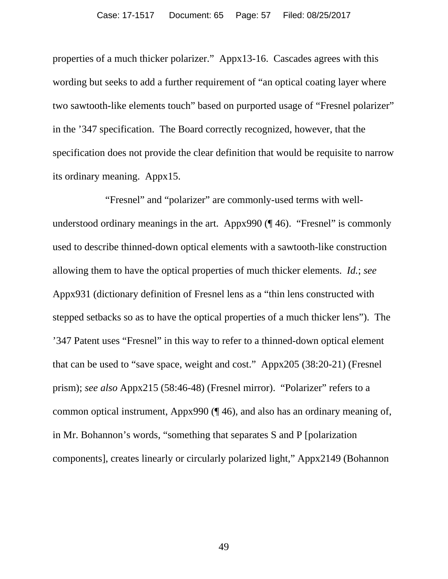properties of a much thicker polarizer." Appx13-16. Cascades agrees with this wording but seeks to add a further requirement of "an optical coating layer where two sawtooth-like elements touch" based on purported usage of "Fresnel polarizer" in the '347 specification. The Board correctly recognized, however, that the specification does not provide the clear definition that would be requisite to narrow its ordinary meaning. Appx15.

"Fresnel" and "polarizer" are commonly-used terms with wellunderstood ordinary meanings in the art. Appx990 (¶ 46). "Fresnel" is commonly used to describe thinned-down optical elements with a sawtooth-like construction allowing them to have the optical properties of much thicker elements. *Id.*; *see*  Appx931 (dictionary definition of Fresnel lens as a "thin lens constructed with stepped setbacks so as to have the optical properties of a much thicker lens"). The '347 Patent uses "Fresnel" in this way to refer to a thinned-down optical element that can be used to "save space, weight and cost." Appx205 (38:20-21) (Fresnel prism); *see also* Appx215 (58:46-48) (Fresnel mirror). "Polarizer" refers to a common optical instrument, Appx990 (¶ 46), and also has an ordinary meaning of, in Mr. Bohannon's words, "something that separates S and P [polarization components], creates linearly or circularly polarized light," Appx2149 (Bohannon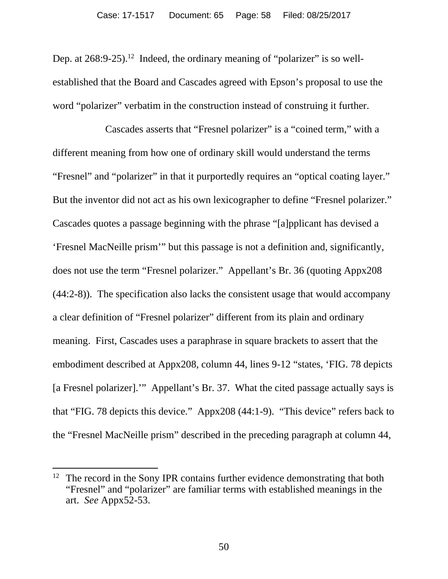Dep. at 268:9-25).<sup>12</sup> Indeed, the ordinary meaning of "polarizer" is so wellestablished that the Board and Cascades agreed with Epson's proposal to use the word "polarizer" verbatim in the construction instead of construing it further.

Cascades asserts that "Fresnel polarizer" is a "coined term," with a different meaning from how one of ordinary skill would understand the terms "Fresnel" and "polarizer" in that it purportedly requires an "optical coating layer." But the inventor did not act as his own lexicographer to define "Fresnel polarizer." Cascades quotes a passage beginning with the phrase "[a]pplicant has devised a 'Fresnel MacNeille prism'" but this passage is not a definition and, significantly, does not use the term "Fresnel polarizer." Appellant's Br. 36 (quoting Appx208 (44:2-8)). The specification also lacks the consistent usage that would accompany a clear definition of "Fresnel polarizer" different from its plain and ordinary meaning. First, Cascades uses a paraphrase in square brackets to assert that the embodiment described at Appx208, column 44, lines 9-12 "states, 'FIG. 78 depicts [a Fresnel polarizer].'" Appellant's Br. 37. What the cited passage actually says is that "FIG. 78 depicts this device." Appx208 (44:1-9). "This device" refers back to the "Fresnel MacNeille prism" described in the preceding paragraph at column 44,

<sup>&</sup>lt;sup>12</sup> The record in the Sony IPR contains further evidence demonstrating that both "Fresnel" and "polarizer" are familiar terms with established meanings in the art. *See* Appx52-53.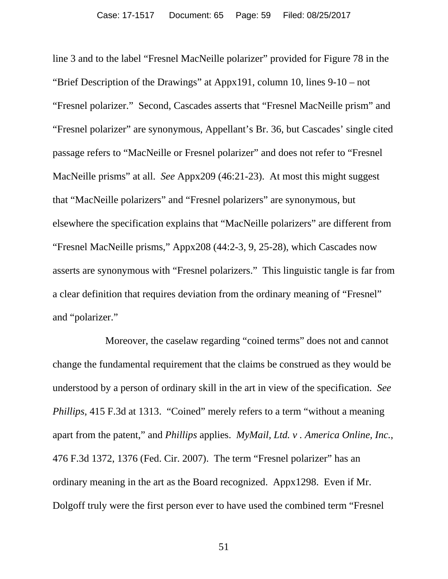line 3 and to the label "Fresnel MacNeille polarizer" provided for Figure 78 in the "Brief Description of the Drawings" at Appx191, column 10, lines 9-10 – not "Fresnel polarizer." Second, Cascades asserts that "Fresnel MacNeille prism" and "Fresnel polarizer" are synonymous, Appellant's Br. 36, but Cascades' single cited passage refers to "MacNeille or Fresnel polarizer" and does not refer to "Fresnel MacNeille prisms" at all. *See* Appx209 (46:21-23). At most this might suggest that "MacNeille polarizers" and "Fresnel polarizers" are synonymous, but elsewhere the specification explains that "MacNeille polarizers" are different from "Fresnel MacNeille prisms," Appx208 (44:2-3, 9, 25-28), which Cascades now asserts are synonymous with "Fresnel polarizers." This linguistic tangle is far from a clear definition that requires deviation from the ordinary meaning of "Fresnel" and "polarizer."

Moreover, the caselaw regarding "coined terms" does not and cannot change the fundamental requirement that the claims be construed as they would be understood by a person of ordinary skill in the art in view of the specification. *See Phillips*, 415 F.3d at 1313. "Coined" merely refers to a term "without a meaning apart from the patent," and *Phillips* applies. *MyMail, Ltd. v . America Online, Inc.*, 476 F.3d 1372, 1376 (Fed. Cir. 2007). The term "Fresnel polarizer" has an ordinary meaning in the art as the Board recognized. Appx1298. Even if Mr. Dolgoff truly were the first person ever to have used the combined term "Fresnel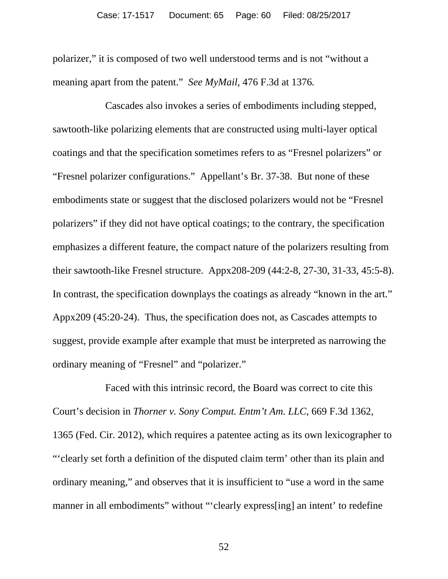polarizer," it is composed of two well understood terms and is not "without a meaning apart from the patent." *See MyMail*, 476 F.3d at 1376*.*

Cascades also invokes a series of embodiments including stepped, sawtooth-like polarizing elements that are constructed using multi-layer optical coatings and that the specification sometimes refers to as "Fresnel polarizers" or "Fresnel polarizer configurations." Appellant's Br. 37-38. But none of these embodiments state or suggest that the disclosed polarizers would not be "Fresnel polarizers" if they did not have optical coatings; to the contrary, the specification emphasizes a different feature, the compact nature of the polarizers resulting from their sawtooth-like Fresnel structure. Appx208-209 (44:2-8, 27-30, 31-33, 45:5-8). In contrast, the specification downplays the coatings as already "known in the art." Appx209 (45:20-24). Thus, the specification does not, as Cascades attempts to suggest, provide example after example that must be interpreted as narrowing the ordinary meaning of "Fresnel" and "polarizer."

Faced with this intrinsic record, the Board was correct to cite this Court's decision in *Thorner v. Sony Comput. Entm't Am. LLC*, 669 F.3d 1362, 1365 (Fed. Cir. 2012), which requires a patentee acting as its own lexicographer to "'clearly set forth a definition of the disputed claim term' other than its plain and ordinary meaning," and observes that it is insufficient to "use a word in the same manner in all embodiments" without "'clearly express[ing] an intent' to redefine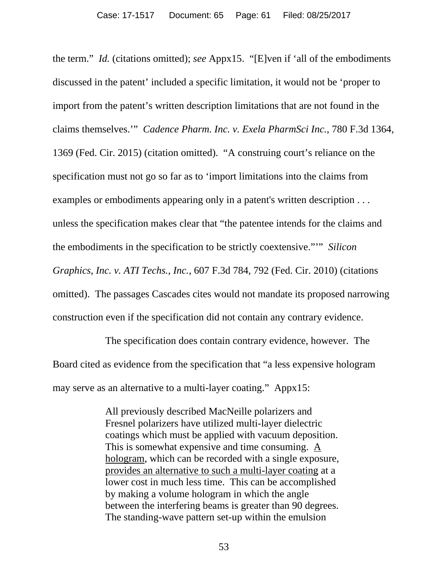the term." *Id.* (citations omitted); *see* Appx15. "[E]ven if 'all of the embodiments discussed in the patent' included a specific limitation, it would not be 'proper to import from the patent's written description limitations that are not found in the claims themselves.'" *Cadence Pharm. Inc. v. Exela PharmSci Inc.*, 780 F.3d 1364, 1369 (Fed. Cir. 2015) (citation omitted). "A construing court's reliance on the specification must not go so far as to 'import limitations into the claims from examples or embodiments appearing only in a patent's written description . . . unless the specification makes clear that "the patentee intends for the claims and the embodiments in the specification to be strictly coextensive."'" *Silicon Graphics, Inc. v. ATI Techs., Inc.*, 607 F.3d 784, 792 (Fed. Cir. 2010) (citations omitted). The passages Cascades cites would not mandate its proposed narrowing construction even if the specification did not contain any contrary evidence.

The specification does contain contrary evidence, however. The Board cited as evidence from the specification that "a less expensive hologram may serve as an alternative to a multi-layer coating." Appx15:

> All previously described MacNeille polarizers and Fresnel polarizers have utilized multi-layer dielectric coatings which must be applied with vacuum deposition. This is somewhat expensive and time consuming. A hologram, which can be recorded with a single exposure, provides an alternative to such a multi-layer coating at a lower cost in much less time. This can be accomplished by making a volume hologram in which the angle between the interfering beams is greater than 90 degrees. The standing-wave pattern set-up within the emulsion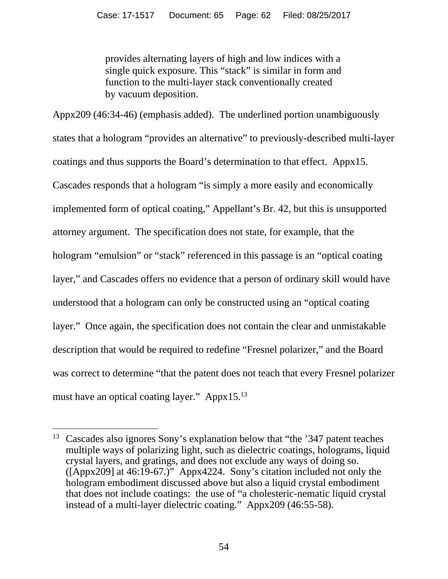provides alternating layers of high and low indices with a single quick exposure. This "stack" is similar in form and function to the multi-layer stack conventionally created by vacuum deposition.

Appx209 (46:34-46) (emphasis added). The underlined portion unambiguously states that a hologram "provides an alternative" to previously-described multi-layer coatings and thus supports the Board's determination to that effect. Appx15. Cascades responds that a hologram "is simply a more easily and economically implemented form of optical coating," Appellant's Br. 42, but this is unsupported attorney argument. The specification does not state, for example, that the hologram "emulsion" or "stack" referenced in this passage is an "optical coating layer," and Cascades offers no evidence that a person of ordinary skill would have understood that a hologram can only be constructed using an "optical coating layer." Once again, the specification does not contain the clear and unmistakable description that would be required to redefine "Fresnel polarizer," and the Board was correct to determine "that the patent does not teach that every Fresnel polarizer must have an optical coating layer." Appx15.13

<sup>&</sup>lt;sup>13</sup> Cascades also ignores Sony's explanation below that "the '347 patent teaches multiple ways of polarizing light, such as dielectric coatings, holograms, liquid crystal layers, and gratings, and does not exclude any ways of doing so. ([Appx209] at 46:19-67.)" Appx4224. Sony's citation included not only the hologram embodiment discussed above but also a liquid crystal embodiment that does not include coatings: the use of "a cholesteric-nematic liquid crystal instead of a multi-layer dielectric coating." Appx209 (46:55-58).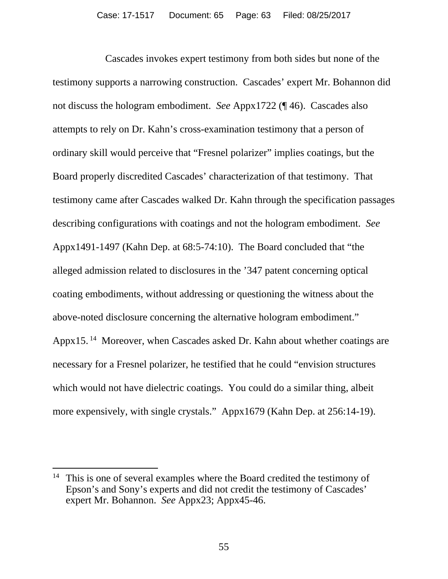Cascades invokes expert testimony from both sides but none of the testimony supports a narrowing construction. Cascades' expert Mr. Bohannon did not discuss the hologram embodiment. *See* Appx1722 (¶ 46). Cascades also attempts to rely on Dr. Kahn's cross-examination testimony that a person of ordinary skill would perceive that "Fresnel polarizer" implies coatings, but the Board properly discredited Cascades' characterization of that testimony. That testimony came after Cascades walked Dr. Kahn through the specification passages describing configurations with coatings and not the hologram embodiment. *See* Appx1491-1497 (Kahn Dep. at 68:5-74:10). The Board concluded that "the alleged admission related to disclosures in the '347 patent concerning optical coating embodiments, without addressing or questioning the witness about the above-noted disclosure concerning the alternative hologram embodiment." Appx15.<sup>14</sup> Moreover, when Cascades asked Dr. Kahn about whether coatings are necessary for a Fresnel polarizer, he testified that he could "envision structures which would not have dielectric coatings. You could do a similar thing, albeit more expensively, with single crystals." Appx1679 (Kahn Dep. at 256:14-19).

<sup>&</sup>lt;sup>14</sup> This is one of several examples where the Board credited the testimony of Epson's and Sony's experts and did not credit the testimony of Cascades' expert Mr. Bohannon. *See* Appx23; Appx45-46.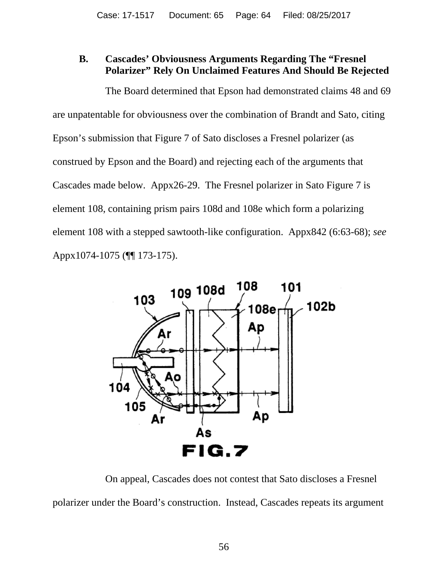## **B. Cascades' Obviousness Arguments Regarding The "Fresnel Polarizer" Rely On Unclaimed Features And Should Be Rejected**

The Board determined that Epson had demonstrated claims 48 and 69 are unpatentable for obviousness over the combination of Brandt and Sato, citing Epson's submission that Figure 7 of Sato discloses a Fresnel polarizer (as construed by Epson and the Board) and rejecting each of the arguments that Cascades made below. Appx26-29. The Fresnel polarizer in Sato Figure 7 is element 108, containing prism pairs 108d and 108e which form a polarizing element 108 with a stepped sawtooth-like configuration. Appx842 (6:63-68); *see*  Appx1074-1075 (¶¶ 173-175).



On appeal, Cascades does not contest that Sato discloses a Fresnel polarizer under the Board's construction. Instead, Cascades repeats its argument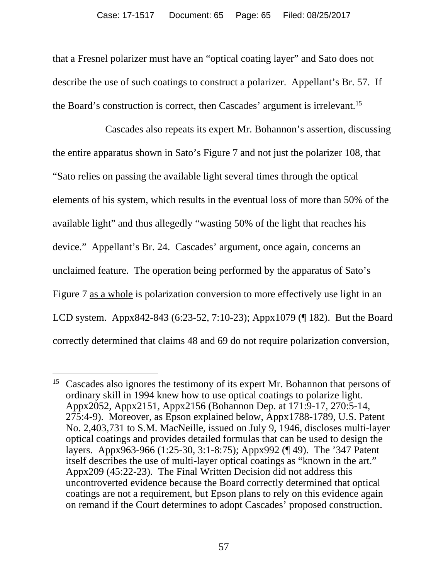that a Fresnel polarizer must have an "optical coating layer" and Sato does not describe the use of such coatings to construct a polarizer. Appellant's Br. 57. If the Board's construction is correct, then Cascades' argument is irrelevant.15

Cascades also repeats its expert Mr. Bohannon's assertion, discussing the entire apparatus shown in Sato's Figure 7 and not just the polarizer 108, that "Sato relies on passing the available light several times through the optical elements of his system, which results in the eventual loss of more than 50% of the available light" and thus allegedly "wasting 50% of the light that reaches his device." Appellant's Br. 24. Cascades' argument, once again, concerns an unclaimed feature. The operation being performed by the apparatus of Sato's Figure 7 as a whole is polarization conversion to more effectively use light in an LCD system. Appx842-843 (6:23-52, 7:10-23); Appx1079 (¶ 182). But the Board correctly determined that claims 48 and 69 do not require polarization conversion,

<sup>&</sup>lt;sup>15</sup> Cascades also ignores the testimony of its expert Mr. Bohannon that persons of ordinary skill in 1994 knew how to use optical coatings to polarize light. Appx2052, Appx2151, Appx2156 (Bohannon Dep. at 171:9-17, 270:5-14, 275:4-9). Moreover, as Epson explained below, Appx1788-1789, U.S. Patent No. 2,403,731 to S.M. MacNeille, issued on July 9, 1946, discloses multi-layer optical coatings and provides detailed formulas that can be used to design the layers. Appx963-966 (1:25-30, 3:1-8:75); Appx992 (¶ 49). The '347 Patent itself describes the use of multi-layer optical coatings as "known in the art." Appx209 (45:22-23). The Final Written Decision did not address this uncontroverted evidence because the Board correctly determined that optical coatings are not a requirement, but Epson plans to rely on this evidence again on remand if the Court determines to adopt Cascades' proposed construction.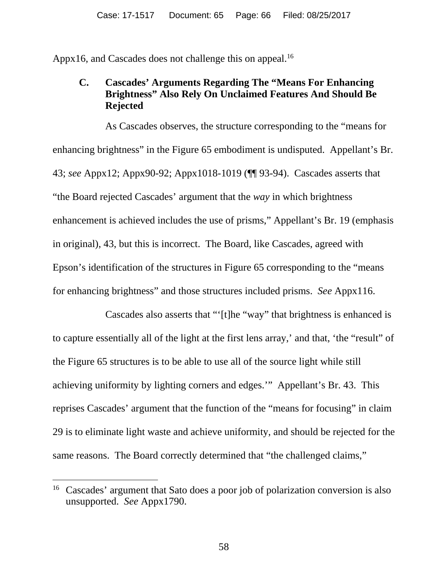Appx16, and Cascades does not challenge this on appeal.<sup>16</sup>

#### **C. Cascades' Arguments Regarding The "Means For Enhancing Brightness" Also Rely On Unclaimed Features And Should Be Rejected**

As Cascades observes, the structure corresponding to the "means for enhancing brightness" in the Figure 65 embodiment is undisputed. Appellant's Br. 43; *see* Appx12; Appx90-92; Appx1018-1019 (¶¶ 93-94). Cascades asserts that "the Board rejected Cascades' argument that the *way* in which brightness enhancement is achieved includes the use of prisms," Appellant's Br. 19 (emphasis in original), 43, but this is incorrect. The Board, like Cascades, agreed with Epson's identification of the structures in Figure 65 corresponding to the "means for enhancing brightness" and those structures included prisms. *See* Appx116.

Cascades also asserts that "'[t]he "way" that brightness is enhanced is to capture essentially all of the light at the first lens array,' and that, 'the "result" of the Figure 65 structures is to be able to use all of the source light while still achieving uniformity by lighting corners and edges.'" Appellant's Br. 43. This reprises Cascades' argument that the function of the "means for focusing" in claim 29 is to eliminate light waste and achieve uniformity, and should be rejected for the same reasons. The Board correctly determined that "the challenged claims,"

<sup>&</sup>lt;sup>16</sup> Cascades' argument that Sato does a poor job of polarization conversion is also unsupported. *See* Appx1790.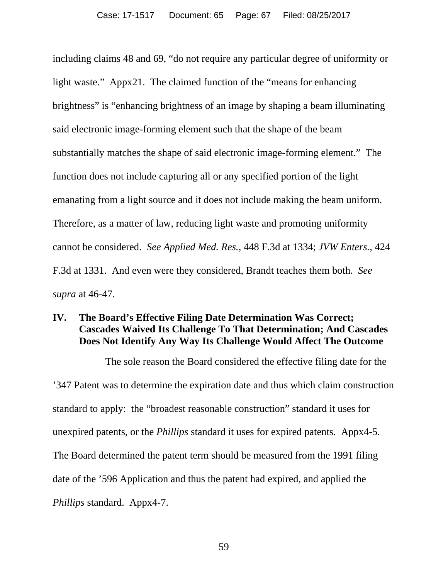including claims 48 and 69, "do not require any particular degree of uniformity or light waste." Appx21. The claimed function of the "means for enhancing brightness" is "enhancing brightness of an image by shaping a beam illuminating said electronic image-forming element such that the shape of the beam substantially matches the shape of said electronic image-forming element." The function does not include capturing all or any specified portion of the light emanating from a light source and it does not include making the beam uniform. Therefore, as a matter of law, reducing light waste and promoting uniformity cannot be considered. *See Applied Med. Res.*, 448 F.3d at 1334; *JVW Enters.*, 424 F.3d at 1331. And even were they considered, Brandt teaches them both. *See supra* at 46-47.

#### **IV. The Board's Effective Filing Date Determination Was Correct; Cascades Waived Its Challenge To That Determination; And Cascades Does Not Identify Any Way Its Challenge Would Affect The Outcome**

The sole reason the Board considered the effective filing date for the '347 Patent was to determine the expiration date and thus which claim construction standard to apply: the "broadest reasonable construction" standard it uses for unexpired patents, or the *Phillips* standard it uses for expired patents. Appx4-5. The Board determined the patent term should be measured from the 1991 filing date of the '596 Application and thus the patent had expired, and applied the *Phillips* standard. Appx4-7.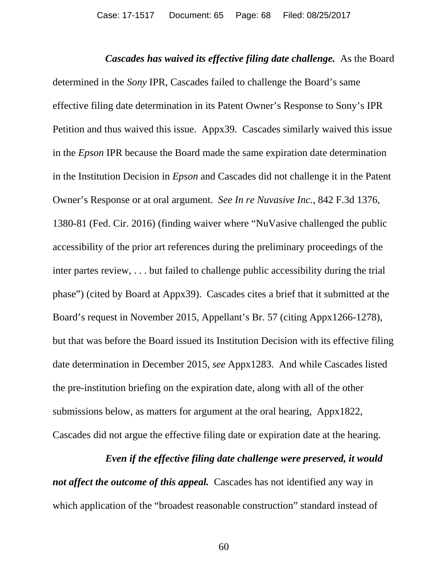*Cascades has waived its effective filing date challenge.* As the Board determined in the *Sony* IPR, Cascades failed to challenge the Board's same effective filing date determination in its Patent Owner's Response to Sony's IPR Petition and thus waived this issue. Appx39. Cascades similarly waived this issue in the *Epson* IPR because the Board made the same expiration date determination in the Institution Decision in *Epson* and Cascades did not challenge it in the Patent Owner's Response or at oral argument. *See In re Nuvasive Inc.*, 842 F.3d 1376, 1380-81 (Fed. Cir. 2016) (finding waiver where "NuVasive challenged the public accessibility of the prior art references during the preliminary proceedings of the inter partes review, . . . but failed to challenge public accessibility during the trial phase") (cited by Board at Appx39). Cascades cites a brief that it submitted at the Board's request in November 2015, Appellant's Br. 57 (citing Appx1266-1278), but that was before the Board issued its Institution Decision with its effective filing date determination in December 2015, *see* Appx1283. And while Cascades listed the pre-institution briefing on the expiration date, along with all of the other submissions below, as matters for argument at the oral hearing, Appx1822, Cascades did not argue the effective filing date or expiration date at the hearing.

#### *Even if the effective filing date challenge were preserved, it would*

*not affect the outcome of this appeal.* Cascades has not identified any way in which application of the "broadest reasonable construction" standard instead of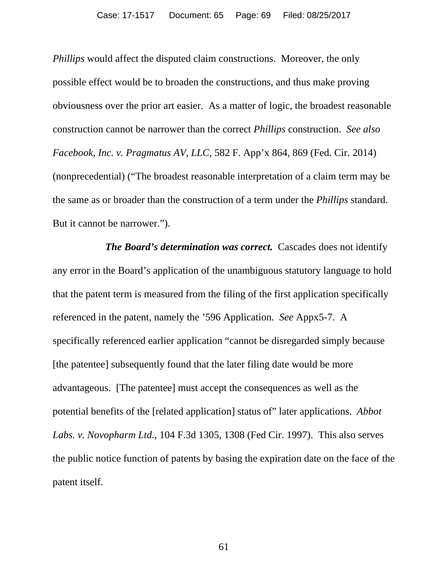*Phillips* would affect the disputed claim constructions. Moreover, the only possible effect would be to broaden the constructions, and thus make proving obviousness over the prior art easier. As a matter of logic, the broadest reasonable construction cannot be narrower than the correct *Phillips* construction. *See also Facebook, Inc. v. Pragmatus AV, LLC*, 582 F. App'x 864, 869 (Fed. Cir. 2014) (nonprecedential) ("The broadest reasonable interpretation of a claim term may be the same as or broader than the construction of a term under the *Phillips* standard. But it cannot be narrower.").

*The Board's determination was correct.* Cascades does not identify any error in the Board's application of the unambiguous statutory language to hold that the patent term is measured from the filing of the first application specifically referenced in the patent, namely the '596 Application. *See* Appx5-7. A specifically referenced earlier application "cannot be disregarded simply because [the patentee] subsequently found that the later filing date would be more advantageous. [The patentee] must accept the consequences as well as the potential benefits of the [related application] status of" later applications. *Abbot Labs. v. Novopharm Ltd.*, 104 F.3d 1305, 1308 (Fed Cir. 1997). This also serves the public notice function of patents by basing the expiration date on the face of the patent itself.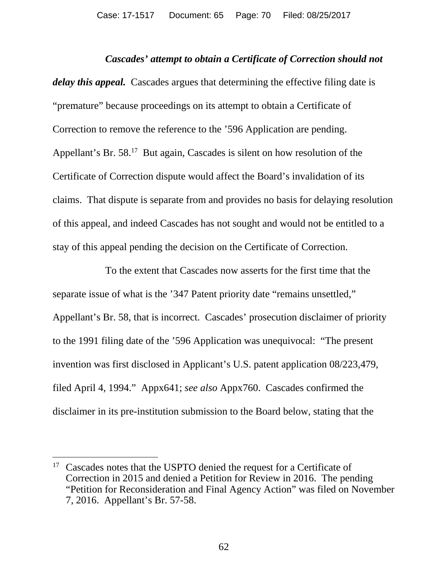#### *Cascades' attempt to obtain a Certificate of Correction should not*

*delay this appeal.* Cascades argues that determining the effective filing date is "premature" because proceedings on its attempt to obtain a Certificate of Correction to remove the reference to the '596 Application are pending. Appellant's Br. 58.<sup>17</sup> But again, Cascades is silent on how resolution of the Certificate of Correction dispute would affect the Board's invalidation of its claims. That dispute is separate from and provides no basis for delaying resolution of this appeal, and indeed Cascades has not sought and would not be entitled to a stay of this appeal pending the decision on the Certificate of Correction.

To the extent that Cascades now asserts for the first time that the separate issue of what is the '347 Patent priority date "remains unsettled," Appellant's Br. 58, that is incorrect. Cascades' prosecution disclaimer of priority to the 1991 filing date of the '596 Application was unequivocal: "The present invention was first disclosed in Applicant's U.S. patent application 08/223,479, filed April 4, 1994." Appx641; *see also* Appx760. Cascades confirmed the disclaimer in its pre-institution submission to the Board below, stating that the

<sup>&</sup>lt;sup>17</sup> Cascades notes that the USPTO denied the request for a Certificate of Correction in 2015 and denied a Petition for Review in 2016. The pending "Petition for Reconsideration and Final Agency Action" was filed on November 7, 2016. Appellant's Br. 57-58.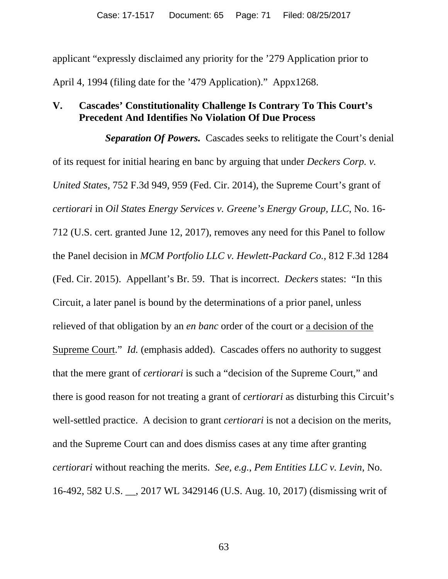applicant "expressly disclaimed any priority for the '279 Application prior to April 4, 1994 (filing date for the '479 Application)." Appx1268.

## **V. Cascades' Constitutionality Challenge Is Contrary To This Court's Precedent And Identifies No Violation Of Due Process**

*Separation Of Powers.* Cascades seeks to relitigate the Court's denial of its request for initial hearing en banc by arguing that under *Deckers Corp. v. United States*, 752 F.3d 949, 959 (Fed. Cir. 2014), the Supreme Court's grant of *certiorari* in *Oil States Energy Services v. Greene's Energy Group, LLC*, No. 16- 712 (U.S. cert. granted June 12, 2017), removes any need for this Panel to follow the Panel decision in *MCM Portfolio LLC v. Hewlett-Packard Co.*, 812 F.3d 1284 (Fed. Cir. 2015). Appellant's Br. 59. That is incorrect. *Deckers* states: "In this Circuit, a later panel is bound by the determinations of a prior panel, unless relieved of that obligation by an *en banc* order of the court or a decision of the Supreme Court." *Id.* (emphasis added). Cascades offers no authority to suggest that the mere grant of *certiorari* is such a "decision of the Supreme Court," and there is good reason for not treating a grant of *certiorari* as disturbing this Circuit's well-settled practice. A decision to grant *certiorari* is not a decision on the merits, and the Supreme Court can and does dismiss cases at any time after granting *certiorari* without reaching the merits. *See, e.g.*, *Pem Entities LLC v. Levin*, No. 16-492, 582 U.S. \_\_, 2017 WL 3429146 (U.S. Aug. 10, 2017) (dismissing writ of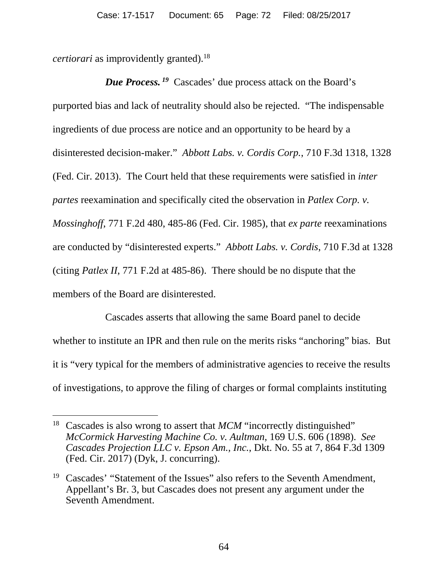*certiorari* as improvidently granted).<sup>18</sup>

*Due Process. <sup>19</sup>* Cascades' due process attack on the Board's purported bias and lack of neutrality should also be rejected. "The indispensable ingredients of due process are notice and an opportunity to be heard by a disinterested decision-maker." *Abbott Labs. v. Cordis Corp.*, 710 F.3d 1318, 1328 (Fed. Cir. 2013). The Court held that these requirements were satisfied in *inter partes* reexamination and specifically cited the observation in *Patlex Corp. v. Mossinghoff*, 771 F.2d 480, 485-86 (Fed. Cir. 1985), that *ex parte* reexaminations are conducted by "disinterested experts." *Abbott Labs. v. Cordis*, 710 F.3d at 1328 (citing *Patlex II*, 771 F.2d at 485-86). There should be no dispute that the members of the Board are disinterested.

Cascades asserts that allowing the same Board panel to decide whether to institute an IPR and then rule on the merits risks "anchoring" bias. But it is "very typical for the members of administrative agencies to receive the results of investigations, to approve the filing of charges or formal complaints instituting

<sup>&</sup>lt;sup>18</sup> Cascades is also wrong to assert that *MCM* "incorrectly distinguished" *McCormick Harvesting Machine Co. v. Aultman*, 169 U.S. 606 (1898). *See Cascades Projection LLC v. Epson Am., Inc.*, Dkt. No. 55 at 7, 864 F.3d 1309 (Fed. Cir. 2017) (Dyk, J. concurring).

<sup>&</sup>lt;sup>19</sup> Cascades' "Statement of the Issues" also refers to the Seventh Amendment, Appellant's Br. 3, but Cascades does not present any argument under the Seventh Amendment.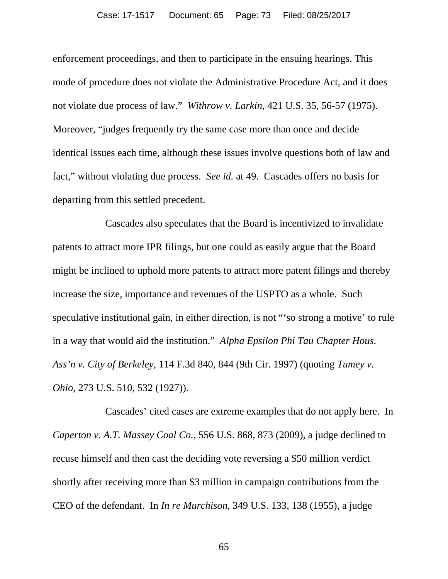enforcement proceedings, and then to participate in the ensuing hearings. This mode of procedure does not violate the Administrative Procedure Act, and it does not violate due process of law." *Withrow v. Larkin*, 421 U.S. 35, 56-57 (1975). Moreover, "judges frequently try the same case more than once and decide identical issues each time, although these issues involve questions both of law and fact," without violating due process. *See id.* at 49. Cascades offers no basis for departing from this settled precedent.

Cascades also speculates that the Board is incentivized to invalidate patents to attract more IPR filings, but one could as easily argue that the Board might be inclined to uphold more patents to attract more patent filings and thereby increase the size, importance and revenues of the USPTO as a whole. Such speculative institutional gain, in either direction, is not "'so strong a motive' to rule in a way that would aid the institution." *Alpha Epsilon Phi Tau Chapter Hous. Ass'n v. City of Berkeley*, 114 F.3d 840, 844 (9th Cir. 1997) (quoting *Tumey v. Ohio*, 273 U.S. 510, 532 (1927)).

Cascades' cited cases are extreme examples that do not apply here. In *Caperton v. A.T. Massey Coal Co.*, 556 U.S. 868, 873 (2009), a judge declined to recuse himself and then cast the deciding vote reversing a \$50 million verdict shortly after receiving more than \$3 million in campaign contributions from the CEO of the defendant. In *In re Murchison*, 349 U.S. 133, 138 (1955), a judge

65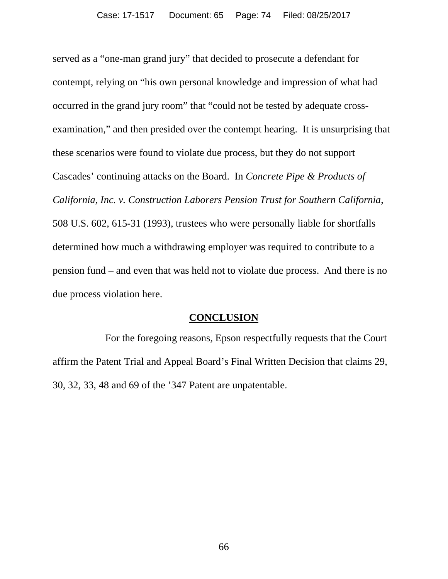served as a "one-man grand jury" that decided to prosecute a defendant for contempt, relying on "his own personal knowledge and impression of what had occurred in the grand jury room" that "could not be tested by adequate crossexamination," and then presided over the contempt hearing. It is unsurprising that these scenarios were found to violate due process, but they do not support Cascades' continuing attacks on the Board. In *Concrete Pipe & Products of California, Inc. v. Construction Laborers Pension Trust for Southern California*, 508 U.S. 602, 615-31 (1993), trustees who were personally liable for shortfalls determined how much a withdrawing employer was required to contribute to a pension fund – and even that was held not to violate due process. And there is no due process violation here.

## **CONCLUSION**

For the foregoing reasons, Epson respectfully requests that the Court affirm the Patent Trial and Appeal Board's Final Written Decision that claims 29, 30, 32, 33, 48 and 69 of the '347 Patent are unpatentable.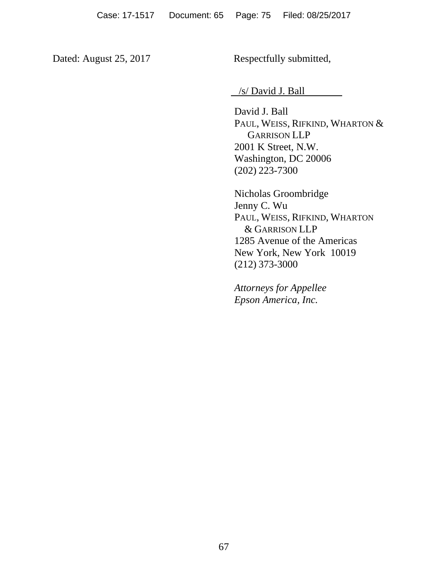Dated: August 25, 2017 Respectfully submitted,

/s/ David J. Ball

David J. Ball PAUL, WEISS, RIFKIND, WHARTON & GARRISON LLP 2001 K Street, N.W. Washington, DC 20006 (202) 223-7300

Nicholas Groombridge Jenny C. Wu PAUL, WEISS, RIFKIND, WHARTON & GARRISON LLP 1285 Avenue of the Americas New York, New York 10019 (212) 373-3000

*Attorneys for Appellee Epson America, Inc.*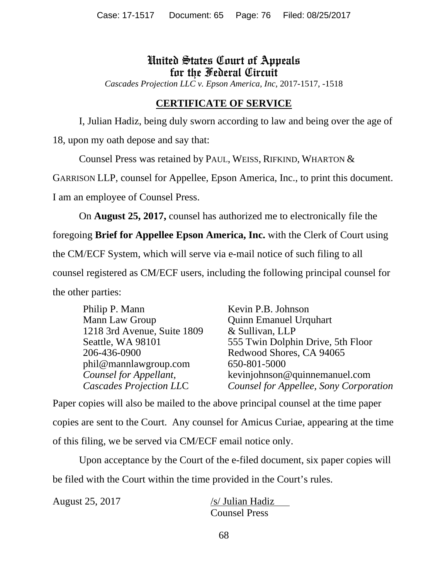## United States Court of Appeals for the Federal Circuit

*Cascades Projection LLC v. Epson America, Inc,* 2017-1517, -1518

## **CERTIFICATE OF SERVICE**

I, Julian Hadiz, being duly sworn according to law and being over the age of

18, upon my oath depose and say that:

Counsel Press was retained by PAUL, WEISS, RIFKIND, WHARTON &

GARRISON LLP, counsel for Appellee, Epson America, Inc., to print this document.

I am an employee of Counsel Press.

On **August 25, 2017,** counsel has authorized me to electronically file the

foregoing **Brief for Appellee Epson America, Inc.** with the Clerk of Court using

the CM/ECF System, which will serve via e-mail notice of such filing to all

counsel registered as CM/ECF users, including the following principal counsel for

the other parties:

| Philip P. Mann                 | Kevin P.B. Johnson                     |
|--------------------------------|----------------------------------------|
| Mann Law Group                 | <b>Quinn Emanuel Urquhart</b>          |
| 1218 3rd Avenue, Suite 1809    | & Sullivan, LLP                        |
| Seattle, WA 98101              | 555 Twin Dolphin Drive, 5th Floor      |
| 206-436-0900                   | Redwood Shores, CA 94065               |
| phil@mannlawgroup.com          | 650-801-5000                           |
| Counsel for Appellant,         | kevinjohnson@quinnemanuel.com          |
| <b>Cascades Projection LLC</b> | Counsel for Appellee, Sony Corporation |

Paper copies will also be mailed to the above principal counsel at the time paper copies are sent to the Court. Any counsel for Amicus Curiae, appearing at the time of this filing, we be served via CM/ECF email notice only.

Upon acceptance by the Court of the e-filed document, six paper copies will be filed with the Court within the time provided in the Court's rules.

August 25, 2017 /s/ Julian Hadiz Counsel Press